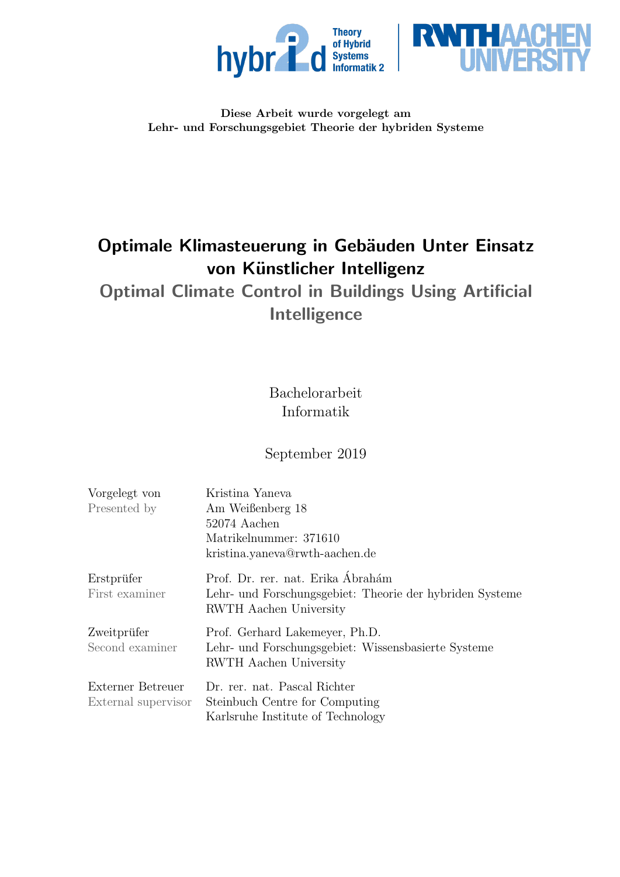



### Diese Arbeit wurde vorgelegt am Lehr- und Forschungsgebiet Theorie der hybriden Systeme

# Optimale Klimasteuerung in Gebäuden Unter Einsatz von Künstlicher Intelligenz

Optimal Climate Control in Buildings Using Artificial Intelligence

> Bachelorarbeit Informatik

# September 2019

| Vorgelegt von       | Kristina Yaneva                                          |
|---------------------|----------------------------------------------------------|
| Presented by        | Am Weißenberg 18                                         |
|                     | 52074 Aachen                                             |
|                     | Matrikelnummer: 371610                                   |
|                     | kristina.yaneva@rwth-aachen.de                           |
| Erstprüfer          | Prof. Dr. rer. nat. Erika Ábrahám                        |
| First examiner      | Lehr- und Forschungsgebiet: Theorie der hybriden Systeme |
|                     | RWTH Aachen University                                   |
| Zweitprüfer         | Prof. Gerhard Lakemeyer, Ph.D.                           |
| Second examiner     | Lehr- und Forschungsgebiet: Wissensbasierte Systeme      |
|                     | RWTH Aachen University                                   |
| Externer Betreuer   | Dr. rer. nat. Pascal Richter                             |
| External supervisor | Steinbuch Centre for Computing                           |
|                     | Karlsruhe Institute of Technology                        |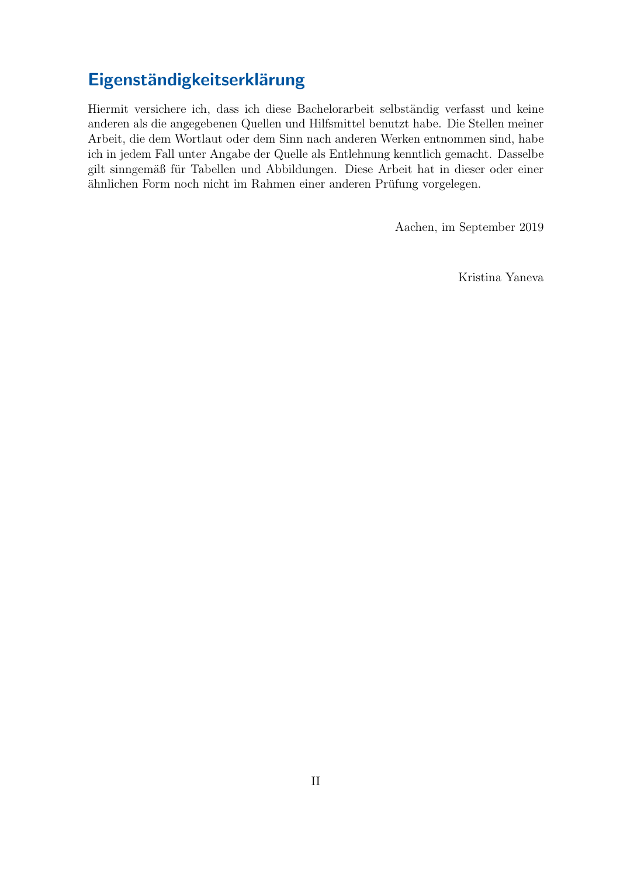# Eigenständigkeitserklärung

Hiermit versichere ich, dass ich diese Bachelorarbeit selbständig verfasst und keine anderen als die angegebenen Quellen und Hilfsmittel benutzt habe. Die Stellen meiner Arbeit, die dem Wortlaut oder dem Sinn nach anderen Werken entnommen sind, habe ich in jedem Fall unter Angabe der Quelle als Entlehnung kenntlich gemacht. Dasselbe gilt sinngemäß für Tabellen und Abbildungen. Diese Arbeit hat in dieser oder einer ähnlichen Form noch nicht im Rahmen einer anderen Prüfung vorgelegen.

Aachen, im September 2019

Kristina Yaneva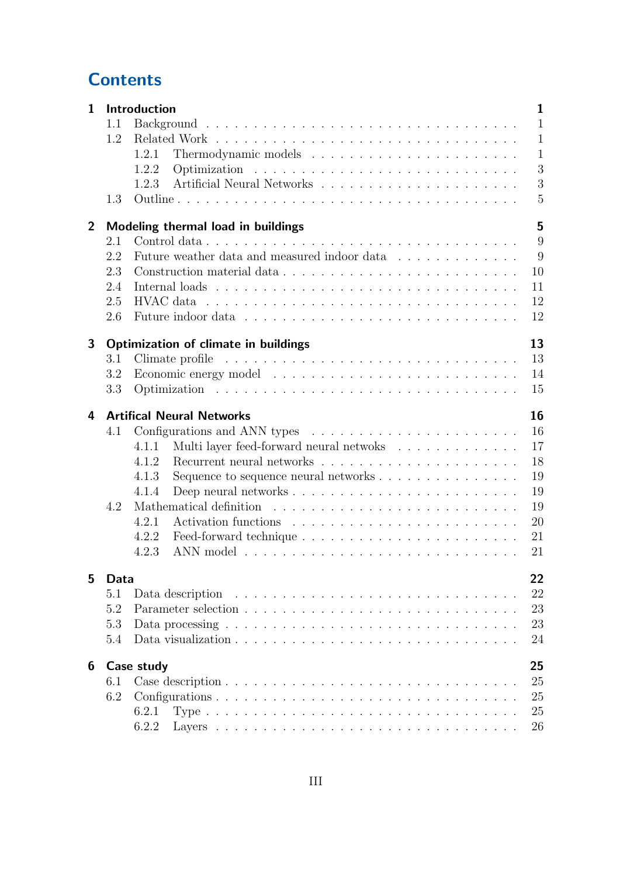# **Contents**

| $\mathbf{1}$   |      | Introduction<br>$\mathbf{1}$                                                                                 |
|----------------|------|--------------------------------------------------------------------------------------------------------------|
|                | 1.1  | $\mathbf{1}$                                                                                                 |
|                | 1.2  | $\mathbf{1}$                                                                                                 |
|                |      | $\mathbf{1}$<br>1.2.1                                                                                        |
|                |      | 3<br>1.2.2                                                                                                   |
|                |      | 3<br>1.2.3                                                                                                   |
|                | 1.3  | 5                                                                                                            |
| $\overline{2}$ |      | 5<br>Modeling thermal load in buildings                                                                      |
|                | 2.1  | 9                                                                                                            |
|                | 2.2  | 9<br>Future weather data and measured indoor data                                                            |
|                | 2.3  | Construction material data<br>10                                                                             |
|                | 2.4  | 11                                                                                                           |
|                | 2.5  | 12<br>$\rm{HVAC}$ data $\ldots \ldots \ldots \ldots \ldots \ldots \ldots \ldots \ldots \ldots \ldots \ldots$ |
|                | 2.6  | 12                                                                                                           |
| 3              |      | 13<br>Optimization of climate in buildings                                                                   |
|                | 3.1  | 13                                                                                                           |
|                | 3.2  | 14                                                                                                           |
|                | 3.3  | 15                                                                                                           |
|                |      |                                                                                                              |
| 4              |      | 16<br><b>Artifical Neural Networks</b>                                                                       |
|                | 4.1  | 16<br>Configurations and ANN types $\dots \dots \dots \dots \dots \dots \dots \dots$                         |
|                |      | Multi layer feed-forward neural netwoks<br>17<br>4.1.1                                                       |
|                |      | 18<br>Recurrent neural networks $\ldots \ldots \ldots \ldots \ldots \ldots \ldots \ldots$<br>4.1.2           |
|                |      | 19<br>4.1.3<br>Sequence to sequence neural networks $\dots \dots \dots \dots \dots$                          |
|                |      | 19<br>4.1.4                                                                                                  |
|                | 4.2  | 19<br>Mathematical definition                                                                                |
|                |      | 20<br>4.2.1                                                                                                  |
|                |      | 21<br>4.2.2                                                                                                  |
|                |      | 4.2.3<br>21                                                                                                  |
| 5              | Data | 22                                                                                                           |
|                | 5.1  | 22<br>Data description                                                                                       |
|                | 5.2  | 23                                                                                                           |
|                | 5.3  | 23<br>Data processing $\ldots \ldots \ldots \ldots \ldots \ldots \ldots \ldots \ldots \ldots \ldots$         |
|                | 5.4  | 24                                                                                                           |
| 6              |      | 25<br>Case study                                                                                             |
|                | 6.1  | 25                                                                                                           |
|                | 6.2  | 25                                                                                                           |
|                |      | 25<br>6.2.1                                                                                                  |
|                |      | 26<br>6.2.2                                                                                                  |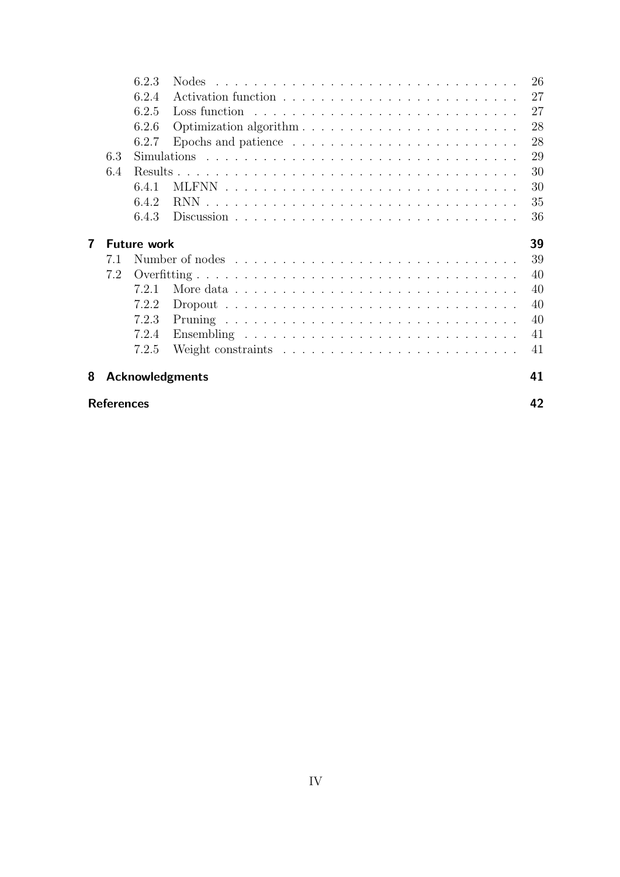|                         |     | 6.2.3              |                                                                                         | 26 |
|-------------------------|-----|--------------------|-----------------------------------------------------------------------------------------|----|
|                         |     | 6.2.4              |                                                                                         | 27 |
|                         |     | 6.2.5              | Loss function                                                                           | 27 |
|                         |     | 6.2.6              | Optimization algorithm                                                                  | 28 |
|                         |     | 6.2.7              | Epochs and patience $\ldots \ldots \ldots \ldots \ldots \ldots \ldots \ldots$           | 28 |
|                         | 6.3 |                    |                                                                                         | 29 |
|                         | 6.4 |                    |                                                                                         | 30 |
|                         |     | 6.4.1              |                                                                                         | 30 |
|                         |     | 6.4.2              |                                                                                         | 35 |
|                         |     | 6.4.3              |                                                                                         | 36 |
| 7                       |     | <b>Future work</b> |                                                                                         | 39 |
|                         | 7.1 |                    |                                                                                         | 39 |
|                         | 7.2 |                    |                                                                                         | 40 |
|                         |     | 721                |                                                                                         | 40 |
|                         |     | 7.2.2              | $Dropout \dots \dots \dots \dots \dots \dots \dots \dots \dots \dots \dots \dots \dots$ | 40 |
|                         |     | 7.2.3              |                                                                                         | 40 |
|                         |     | 7.2.4              |                                                                                         | 41 |
|                         |     | 7.2.5              | Weight constraints $\ldots \ldots \ldots \ldots \ldots \ldots \ldots \ldots$            | 41 |
| 8                       |     |                    | <b>Acknowledgments</b>                                                                  | 41 |
| 42<br><b>References</b> |     |                    |                                                                                         |    |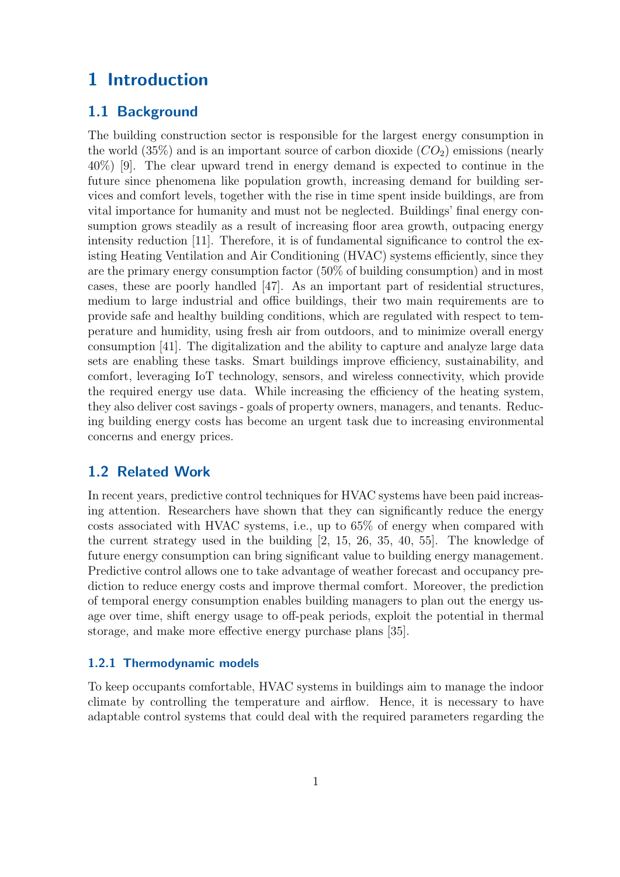# <span id="page-4-0"></span>1 Introduction

## <span id="page-4-1"></span>1.1 Background

The building construction sector is responsible for the largest energy consumption in the world  $(35\%)$  and is an important source of carbon dioxide  $(CO_2)$  emissions (nearly 40%) [\[9\]](#page-45-1). The clear upward trend in energy demand is expected to continue in the future since phenomena like population growth, increasing demand for building services and comfort levels, together with the rise in time spent inside buildings, are from vital importance for humanity and must not be neglected. Buildings' final energy consumption grows steadily as a result of increasing floor area growth, outpacing energy intensity reduction [\[11\]](#page-45-2). Therefore, it is of fundamental significance to control the existing Heating Ventilation and Air Conditioning (HVAC) systems efficiently, since they are the primary energy consumption factor (50% of building consumption) and in most cases, these are poorly handled [\[47\]](#page-48-0). As an important part of residential structures, medium to large industrial and office buildings, their two main requirements are to provide safe and healthy building conditions, which are regulated with respect to temperature and humidity, using fresh air from outdoors, and to minimize overall energy consumption [\[41\]](#page-48-1). The digitalization and the ability to capture and analyze large data sets are enabling these tasks. Smart buildings improve efficiency, sustainability, and comfort, leveraging IoT technology, sensors, and wireless connectivity, which provide the required energy use data. While increasing the efficiency of the heating system, they also deliver cost savings - goals of property owners, managers, and tenants. Reducing building energy costs has become an urgent task due to increasing environmental concerns and energy prices.

### <span id="page-4-2"></span>1.2 Related Work

In recent years, predictive control techniques for HVAC systems have been paid increasing attention. Researchers have shown that they can significantly reduce the energy costs associated with HVAC systems, i.e., up to 65% of energy when compared with the current strategy used in the building [\[2,](#page-45-3) [15,](#page-46-0) [26,](#page-47-0) [35,](#page-47-1) [40,](#page-48-2) [55\]](#page-49-0). The knowledge of future energy consumption can bring significant value to building energy management. Predictive control allows one to take advantage of weather forecast and occupancy prediction to reduce energy costs and improve thermal comfort. Moreover, the prediction of temporal energy consumption enables building managers to plan out the energy usage over time, shift energy usage to off-peak periods, exploit the potential in thermal storage, and make more effective energy purchase plans [\[35\]](#page-47-1).

#### <span id="page-4-3"></span>1.2.1 Thermodynamic models

To keep occupants comfortable, HVAC systems in buildings aim to manage the indoor climate by controlling the temperature and airflow. Hence, it is necessary to have adaptable control systems that could deal with the required parameters regarding the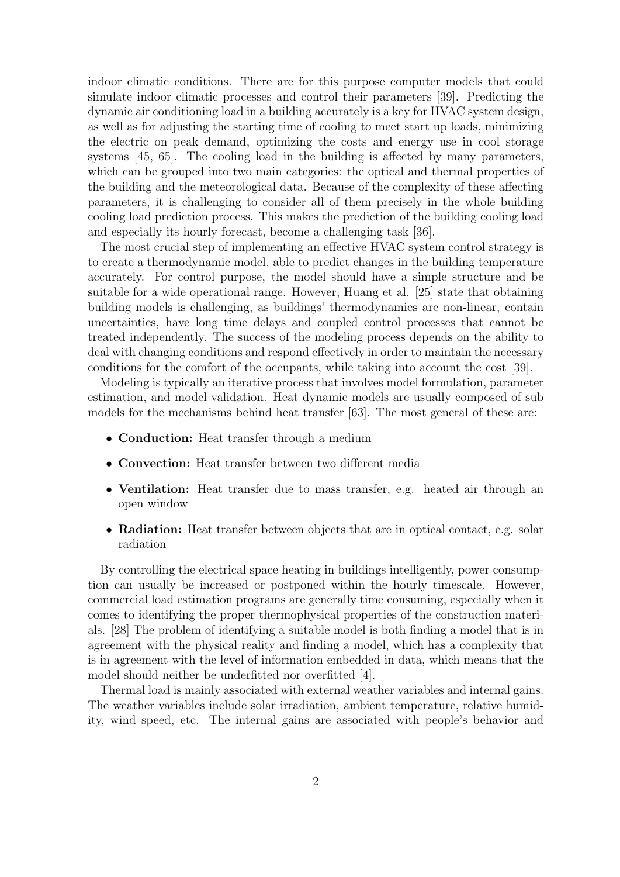indoor climatic conditions. There are for this purpose computer models that could simulate indoor climatic processes and control their parameters [\[39\]](#page-48-3). Predicting the dynamic air conditioning load in a building accurately is a key for HVAC system design, as well as for adjusting the starting time of cooling to meet start up loads, minimizing the electric on peak demand, optimizing the costs and energy use in cool storage systems [\[45,](#page-48-4) [65\]](#page-50-0). The cooling load in the building is affected by many parameters, which can be grouped into two main categories: the optical and thermal properties of the building and the meteorological data. Because of the complexity of these affecting parameters, it is challenging to consider all of them precisely in the whole building cooling load prediction process. This makes the prediction of the building cooling load and especially its hourly forecast, become a challenging task [\[36\]](#page-47-2).

The most crucial step of implementing an effective HVAC system control strategy is to create a thermodynamic model, able to predict changes in the building temperature accurately. For control purpose, the model should have a simple structure and be suitable for a wide operational range. However, Huang et al. [\[25\]](#page-46-1) state that obtaining building models is challenging, as buildings' thermodynamics are non-linear, contain uncertainties, have long time delays and coupled control processes that cannot be treated independently. The success of the modeling process depends on the ability to deal with changing conditions and respond effectively in order to maintain the necessary conditions for the comfort of the occupants, while taking into account the cost [\[39\]](#page-48-3).

Modeling is typically an iterative process that involves model formulation, parameter estimation, and model validation. Heat dynamic models are usually composed of sub models for the mechanisms behind heat transfer [\[63\]](#page-50-1). The most general of these are:

- Conduction: Heat transfer through a medium
- Convection: Heat transfer between two different media
- Ventilation: Heat transfer due to mass transfer, e.g. heated air through an open window
- Radiation: Heat transfer between objects that are in optical contact, e.g. solar radiation

By controlling the electrical space heating in buildings intelligently, power consumption can usually be increased or postponed within the hourly timescale. However, commercial load estimation programs are generally time consuming, especially when it comes to identifying the proper thermophysical properties of the construction materials. [\[28\]](#page-47-3) The problem of identifying a suitable model is both finding a model that is in agreement with the physical reality and finding a model, which has a complexity that is in agreement with the level of information embedded in data, which means that the model should neither be underfitted nor overfitted [\[4\]](#page-45-4).

Thermal load is mainly associated with external weather variables and internal gains. The weather variables include solar irradiation, ambient temperature, relative humidity, wind speed, etc. The internal gains are associated with people's behavior and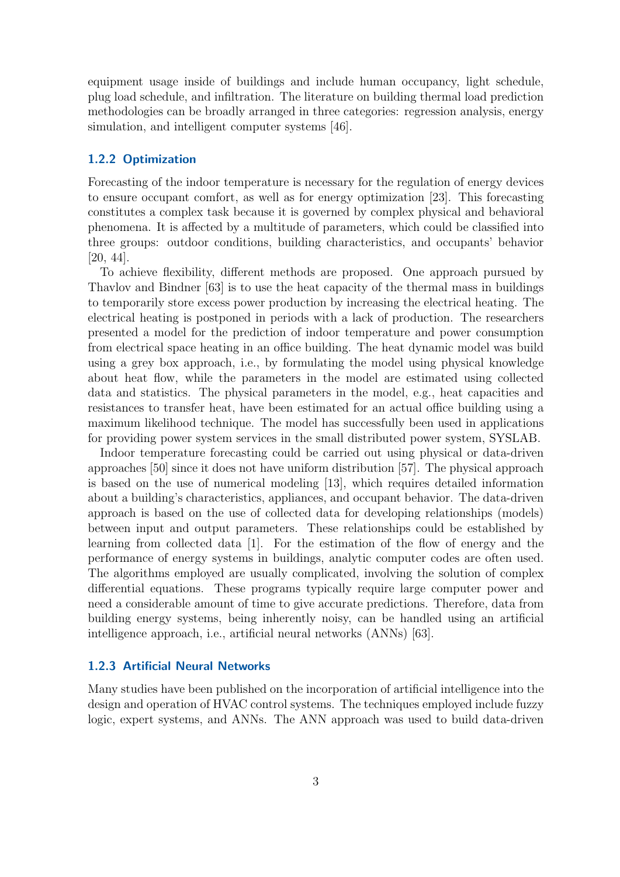equipment usage inside of buildings and include human occupancy, light schedule, plug load schedule, and infiltration. The literature on building thermal load prediction methodologies can be broadly arranged in three categories: regression analysis, energy simulation, and intelligent computer systems [\[46\]](#page-48-5).

#### <span id="page-6-0"></span>1.2.2 Optimization

Forecasting of the indoor temperature is necessary for the regulation of energy devices to ensure occupant comfort, as well as for energy optimization [\[23\]](#page-46-2). This forecasting constitutes a complex task because it is governed by complex physical and behavioral phenomena. It is affected by a multitude of parameters, which could be classified into three groups: outdoor conditions, building characteristics, and occupants' behavior [\[20,](#page-46-3) [44\]](#page-48-6).

To achieve flexibility, different methods are proposed. One approach pursued by Thavlov and Bindner [\[63\]](#page-50-1) is to use the heat capacity of the thermal mass in buildings to temporarily store excess power production by increasing the electrical heating. The electrical heating is postponed in periods with a lack of production. The researchers presented a model for the prediction of indoor temperature and power consumption from electrical space heating in an office building. The heat dynamic model was build using a grey box approach, i.e., by formulating the model using physical knowledge about heat flow, while the parameters in the model are estimated using collected data and statistics. The physical parameters in the model, e.g., heat capacities and resistances to transfer heat, have been estimated for an actual office building using a maximum likelihood technique. The model has successfully been used in applications for providing power system services in the small distributed power system, SYSLAB.

Indoor temperature forecasting could be carried out using physical or data-driven approaches [\[50\]](#page-48-7) since it does not have uniform distribution [\[57\]](#page-49-1). The physical approach is based on the use of numerical modeling [\[13\]](#page-46-4), which requires detailed information about a building's characteristics, appliances, and occupant behavior. The data-driven approach is based on the use of collected data for developing relationships (models) between input and output parameters. These relationships could be established by learning from collected data [\[1\]](#page-45-5). For the estimation of the flow of energy and the performance of energy systems in buildings, analytic computer codes are often used. The algorithms employed are usually complicated, involving the solution of complex differential equations. These programs typically require large computer power and need a considerable amount of time to give accurate predictions. Therefore, data from building energy systems, being inherently noisy, can be handled using an artificial intelligence approach, i.e., artificial neural networks (ANNs) [\[63\]](#page-50-1).

### <span id="page-6-1"></span>1.2.3 Artificial Neural Networks

Many studies have been published on the incorporation of artificial intelligence into the design and operation of HVAC control systems. The techniques employed include fuzzy logic, expert systems, and ANNs. The ANN approach was used to build data-driven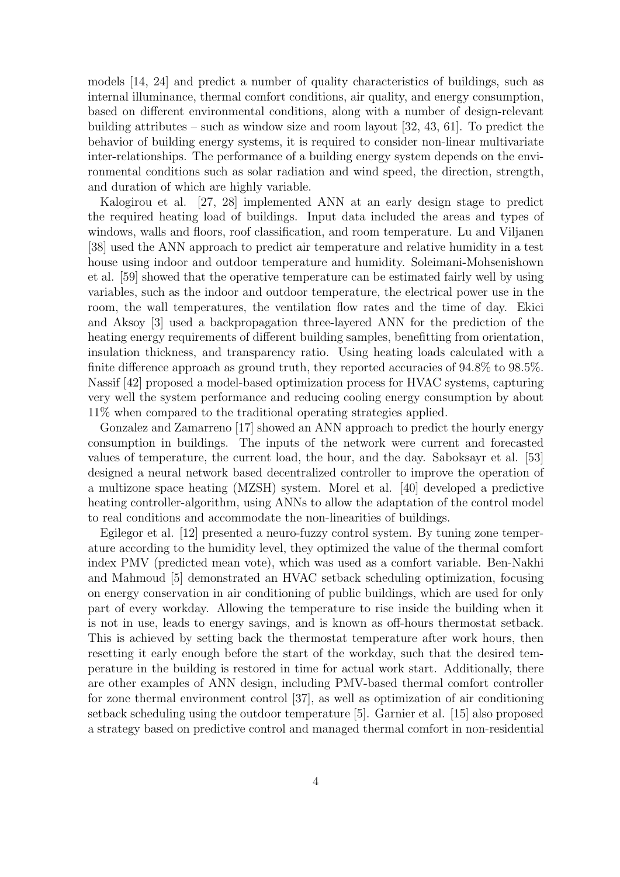models [\[14,](#page-46-5) [24\]](#page-46-6) and predict a number of quality characteristics of buildings, such as internal illuminance, thermal comfort conditions, air quality, and energy consumption, based on different environmental conditions, along with a number of design-relevant building attributes – such as window size and room layout [\[32,](#page-47-4) [43,](#page-48-8) [61\]](#page-49-2). To predict the behavior of building energy systems, it is required to consider non-linear multivariate inter-relationships. The performance of a building energy system depends on the environmental conditions such as solar radiation and wind speed, the direction, strength, and duration of which are highly variable.

Kalogirou et al. [\[27,](#page-47-5) [28\]](#page-47-3) implemented ANN at an early design stage to predict the required heating load of buildings. Input data included the areas and types of windows, walls and floors, roof classification, and room temperature. Lu and Viljanen [\[38\]](#page-48-9) used the ANN approach to predict air temperature and relative humidity in a test house using indoor and outdoor temperature and humidity. Soleimani-Mohsenishown et al. [\[59\]](#page-49-3) showed that the operative temperature can be estimated fairly well by using variables, such as the indoor and outdoor temperature, the electrical power use in the room, the wall temperatures, the ventilation flow rates and the time of day. Ekici and Aksoy [\[3\]](#page-45-6) used a backpropagation three-layered ANN for the prediction of the heating energy requirements of different building samples, benefitting from orientation, insulation thickness, and transparency ratio. Using heating loads calculated with a finite difference approach as ground truth, they reported accuracies of 94.8% to 98.5%. Nassif [\[42\]](#page-48-10) proposed a model-based optimization process for HVAC systems, capturing very well the system performance and reducing cooling energy consumption by about 11% when compared to the traditional operating strategies applied.

Gonzalez and Zamarreno [\[17\]](#page-46-7) showed an ANN approach to predict the hourly energy consumption in buildings. The inputs of the network were current and forecasted values of temperature, the current load, the hour, and the day. Saboksayr et al. [\[53\]](#page-49-4) designed a neural network based decentralized controller to improve the operation of a multizone space heating (MZSH) system. Morel et al. [\[40\]](#page-48-2) developed a predictive heating controller-algorithm, using ANNs to allow the adaptation of the control model to real conditions and accommodate the non-linearities of buildings.

Egilegor et al. [\[12\]](#page-45-7) presented a neuro-fuzzy control system. By tuning zone temperature according to the humidity level, they optimized the value of the thermal comfort index PMV (predicted mean vote), which was used as a comfort variable. Ben-Nakhi and Mahmoud [\[5\]](#page-45-8) demonstrated an HVAC setback scheduling optimization, focusing on energy conservation in air conditioning of public buildings, which are used for only part of every workday. Allowing the temperature to rise inside the building when it is not in use, leads to energy savings, and is known as off-hours thermostat setback. This is achieved by setting back the thermostat temperature after work hours, then resetting it early enough before the start of the workday, such that the desired temperature in the building is restored in time for actual work start. Additionally, there are other examples of ANN design, including PMV-based thermal comfort controller for zone thermal environment control [\[37\]](#page-47-6), as well as optimization of air conditioning setback scheduling using the outdoor temperature [\[5\]](#page-45-8). Garnier et al. [\[15\]](#page-46-0) also proposed a strategy based on predictive control and managed thermal comfort in non-residential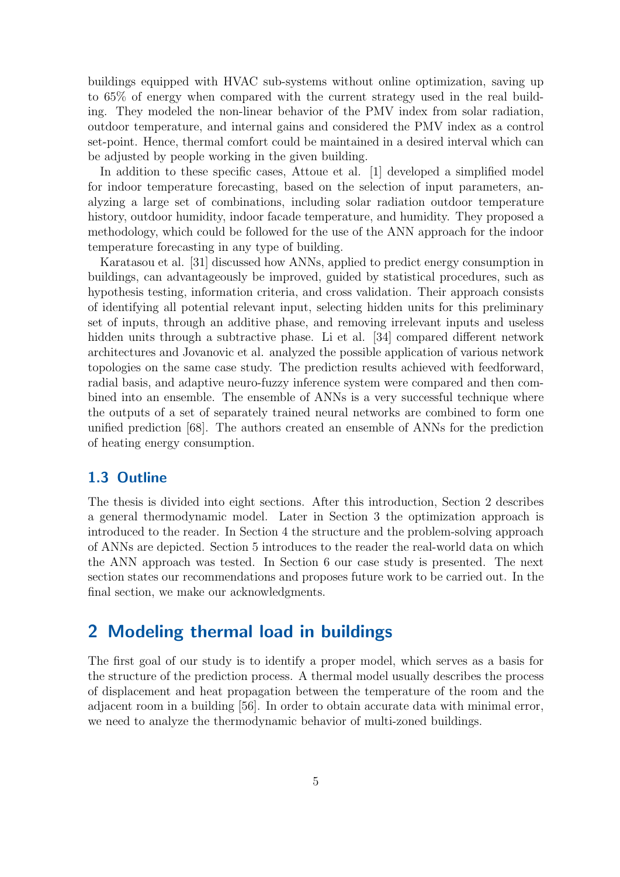buildings equipped with HVAC sub-systems without online optimization, saving up to 65% of energy when compared with the current strategy used in the real building. They modeled the non-linear behavior of the PMV index from solar radiation, outdoor temperature, and internal gains and considered the PMV index as a control set-point. Hence, thermal comfort could be maintained in a desired interval which can be adjusted by people working in the given building.

In addition to these specific cases, Attoue et al. [\[1\]](#page-45-5) developed a simplified model for indoor temperature forecasting, based on the selection of input parameters, analyzing a large set of combinations, including solar radiation outdoor temperature history, outdoor humidity, indoor facade temperature, and humidity. They proposed a methodology, which could be followed for the use of the ANN approach for the indoor temperature forecasting in any type of building.

Karatasou et al. [\[31\]](#page-47-7) discussed how ANNs, applied to predict energy consumption in buildings, can advantageously be improved, guided by statistical procedures, such as hypothesis testing, information criteria, and cross validation. Their approach consists of identifying all potential relevant input, selecting hidden units for this preliminary set of inputs, through an additive phase, and removing irrelevant inputs and useless hidden units through a subtractive phase. Li et al. [\[34\]](#page-47-8) compared different network architectures and Jovanovic et al. analyzed the possible application of various network topologies on the same case study. The prediction results achieved with feedforward, radial basis, and adaptive neuro-fuzzy inference system were compared and then combined into an ensemble. The ensemble of ANNs is a very successful technique where the outputs of a set of separately trained neural networks are combined to form one unified prediction [\[68\]](#page-50-2). The authors created an ensemble of ANNs for the prediction of heating energy consumption.

### <span id="page-8-0"></span>1.3 Outline

The thesis is divided into eight sections. After this introduction, Section 2 describes a general thermodynamic model. Later in Section 3 the optimization approach is introduced to the reader. In Section 4 the structure and the problem-solving approach of ANNs are depicted. Section 5 introduces to the reader the real-world data on which the ANN approach was tested. In Section 6 our case study is presented. The next section states our recommendations and proposes future work to be carried out. In the final section, we make our acknowledgments.

## <span id="page-8-1"></span>2 Modeling thermal load in buildings

The first goal of our study is to identify a proper model, which serves as a basis for the structure of the prediction process. A thermal model usually describes the process of displacement and heat propagation between the temperature of the room and the adjacent room in a building [\[56\]](#page-49-5). In order to obtain accurate data with minimal error, we need to analyze the thermodynamic behavior of multi-zoned buildings.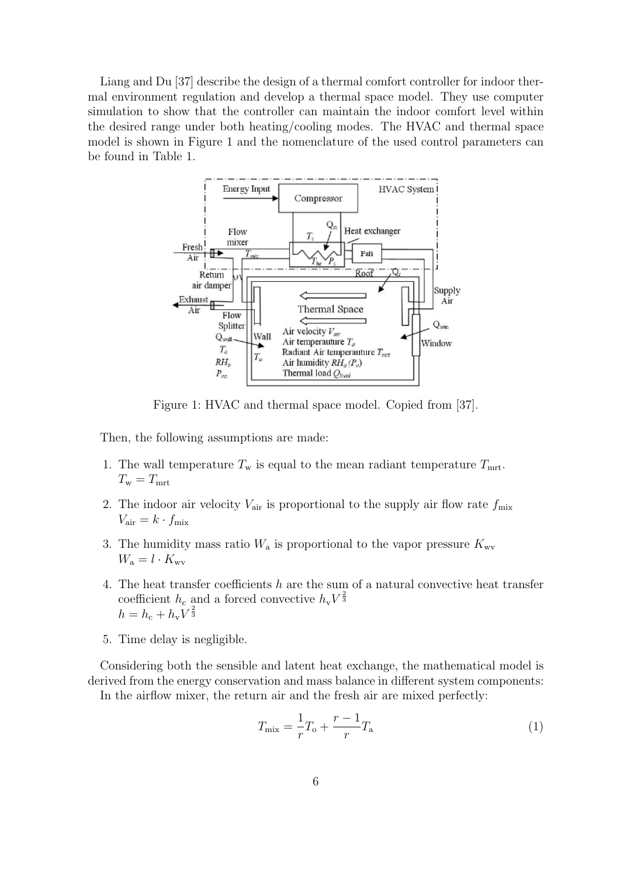Liang and Du [\[37\]](#page-47-6) describe the design of a thermal comfort controller for indoor thermal environment regulation and develop a thermal space model. They use computer simulation to show that the controller can maintain the indoor comfort level within the desired range under both heating/cooling modes. The HVAC and thermal space model is shown in Figure [1](#page-9-0) and the nomenclature of the used control parameters can be found in Table [1.](#page-12-2)

<span id="page-9-0"></span>

Figure 1: HVAC and thermal space model. Copied from [\[37\]](#page-47-6).

Then, the following assumptions are made:

- 1. The wall temperature  $T_{\rm w}$  is equal to the mean radiant temperature  $T_{\rm mrt}$ .  $T_{\rm w}=T_{\rm mrt}$
- 2. The indoor air velocity  $V_{\text{air}}$  is proportional to the supply air flow rate  $f_{\text{mix}}$  $V_{\text{air}} = k \cdot f_{\text{mix}}$
- 3. The humidity mass ratio  $W_a$  is proportional to the vapor pressure  $K_{\rm wv}$  $W_{\rm a}=l\cdot K_{\rm wv}$
- 4. The heat transfer coefficients h are the sum of a natural convective heat transfer coefficient  $h_c$  and a forced convective  $h_v V^{\frac{2}{3}}$  $h = h_{\rm c} + h_{\rm v} V^{\frac{2}{3}}$
- 5. Time delay is negligible.

Considering both the sensible and latent heat exchange, the mathematical model is derived from the energy conservation and mass balance in different system components: In the airflow mixer, the return air and the fresh air are mixed perfectly:

$$
T_{\text{mix}} = \frac{1}{r}T_o + \frac{r-1}{r}T_a
$$
 (1)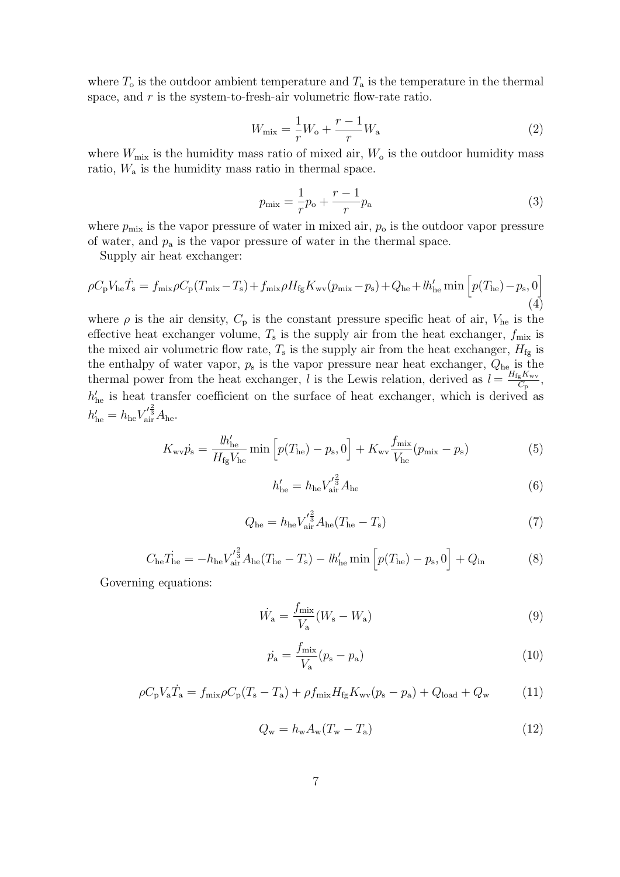where  $T_0$  is the outdoor ambient temperature and  $T_a$  is the temperature in the thermal space, and  $r$  is the system-to-fresh-air volumetric flow-rate ratio.

$$
W_{\text{mix}} = \frac{1}{r}W_{\text{o}} + \frac{r-1}{r}W_{\text{a}}
$$
 (2)

where  $W_{\text{mix}}$  is the humidity mass ratio of mixed air,  $W_{\text{o}}$  is the outdoor humidity mass ratio, W<sup>a</sup> is the humidity mass ratio in thermal space.

$$
p_{\rm mix} = \frac{1}{r} p_{\rm o} + \frac{r-1}{r} p_{\rm a} \tag{3}
$$

where  $p_{\text{mix}}$  is the vapor pressure of water in mixed air,  $p_o$  is the outdoor vapor pressure of water, and  $p_a$  is the vapor pressure of water in the thermal space.

Supply air heat exchanger:

$$
\rho C_{\rm p} V_{\rm he} \dot{T}_{\rm s} = f_{\rm mix} \rho C_{\rm p} (T_{\rm mix} - T_{\rm s}) + f_{\rm mix} \rho H_{\rm fg} K_{\rm wv} (p_{\rm mix} - p_{\rm s}) + Q_{\rm he} + l h_{\rm he}' \min \left[ p(T_{\rm he}) - p_{\rm s}, 0 \right] \tag{4}
$$

where  $\rho$  is the air density,  $C_p$  is the constant pressure specific heat of air,  $V_{he}$  is the effective heat exchanger volume,  $T_s$  is the supply air from the heat exchanger,  $f_{\text{mix}}$  is the mixed air volumetric flow rate,  $T_s$  is the supply air from the heat exchanger,  $H_{\text{fg}}$  is the enthalpy of water vapor,  $p_s$  is the vapor pressure near heat exchanger,  $Q_{he}$  is the thermal power from the heat exchanger, l is the Lewis relation, derived as  $l = \frac{H_{\text{fg}}K_{\text{w}v}}{C}$  $\frac{C_{\rm g} K_{\rm WV}}{C_{\rm p}},$  $h'_{he}$  is heat transfer coefficient on the surface of heat exchanger, which is derived as  $h'_{\rm he}=h_{\rm he} {V'_{\rm\overline{3}}^2} A_{\rm he}.$ 

$$
K_{\rm wv}\dot{p}_{\rm s} = \frac{lh'_{\rm he}}{H_{\rm fg}V_{\rm he}}\min\left[p(T_{\rm he}) - p_{\rm s}, 0\right] + K_{\rm wv}\frac{f_{\rm mix}}{V_{\rm he}}(p_{\rm mix} - p_{\rm s})\tag{5}
$$

$$
h'_{\text{he}} = h_{\text{he}} V'^{\frac{2}{3}}_{\text{air}} A_{\text{he}} \tag{6}
$$

$$
Q_{\text{he}} = h_{\text{he}} V_{\text{air}}^{\prime \frac{2}{3}} A_{\text{he}} (T_{\text{he}} - T_{\text{s}})
$$
 (7)

$$
C_{\text{he}} \dot{T}_{\text{he}} = -h_{\text{he}} V_{\text{air}}'^{\frac{2}{3}} A_{\text{he}} (T_{\text{he}} - T_{\text{s}}) - l h_{\text{he}}' \min \left[ p(T_{\text{he}}) - p_{\text{s}}, 0 \right] + Q_{\text{in}} \tag{8}
$$

Governing equations:

$$
\dot{W}_{\rm a} = \frac{f_{\rm mix}}{V_{\rm a}} (W_{\rm s} - W_{\rm a}) \tag{9}
$$

$$
\dot{p}_{\rm a} = \frac{f_{\rm mix}}{V_{\rm a}} (p_{\rm s} - p_{\rm a}) \tag{10}
$$

$$
\rho C_{\rm p} V_{\rm a} \dot{T}_{\rm a} = f_{\rm mix} \rho C_{\rm p} (T_{\rm s} - T_{\rm a}) + \rho f_{\rm mix} H_{\rm fg} K_{\rm wv} (p_{\rm s} - p_{\rm a}) + Q_{\rm load} + Q_{\rm w}
$$
(11)

$$
Q_{\rm w} = h_{\rm w} A_{\rm w} (T_{\rm w} - T_{\rm a}) \tag{12}
$$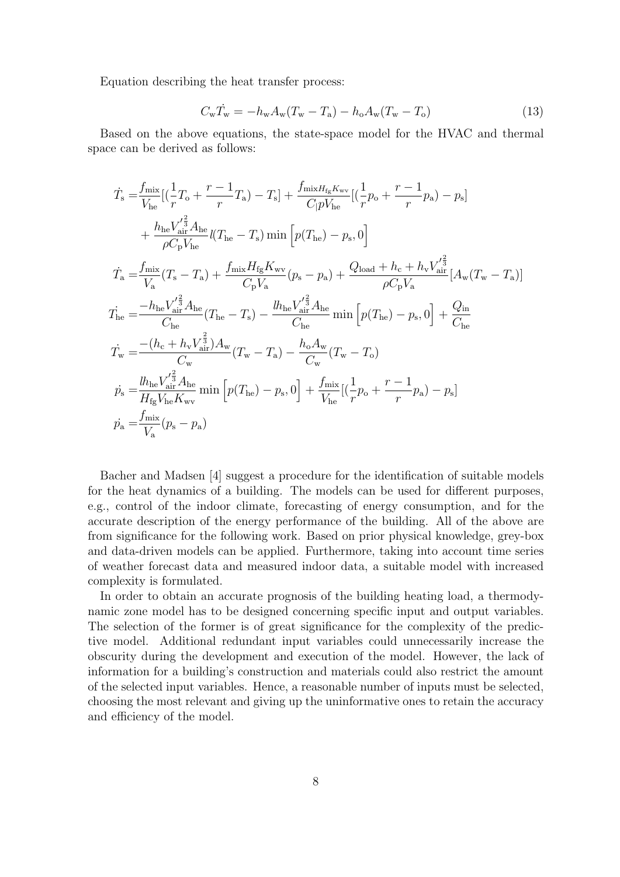Equation describing the heat transfer process:

$$
C_{\rm w}\dot{T}_{\rm w} = -h_{\rm w}A_{\rm w}(T_{\rm w} - T_{\rm a}) - h_{\rm o}A_{\rm w}(T_{\rm w} - T_{\rm o})\tag{13}
$$

Based on the above equations, the state-space model for the HVAC and thermal space can be derived as follows:

$$
\begin{split}\n\dot{T}_{\rm s} &= \frac{f_{\rm mix}}{V_{\rm he}} \big[ (\frac{1}{r} T_{\rm o} + \frac{r-1}{r} T_{\rm a}) - T_{\rm s} \big] + \frac{f_{\rm mix} H_{\rm fs} K_{\rm wv}}{C|pV_{\rm he}} \big[ (\frac{1}{r} p_{\rm o} + \frac{r-1}{r} p_{\rm a}) - p_{\rm s} \big] \\
&+ \frac{h_{\rm he} V_{\rm air}^{'\frac{2}{3}} A_{\rm he}}{\rho C_{\rm p} V_{\rm he}} l(T_{\rm he} - T_{\rm s}) \min \left[ p(T_{\rm he}) - p_{\rm s}, 0 \right] \\
\dot{T}_{\rm a} &= \frac{f_{\rm mix}}{V_{\rm a}} (T_{\rm s} - T_{\rm a}) + \frac{f_{\rm mix} H_{\rm fg} K_{\rm wv}}{C_{\rm p} V_{\rm a}} (p_{\rm s} - p_{\rm a}) + \frac{Q_{\rm load} + h_{\rm c} + h_{\rm v} V_{\rm air}^{'\frac{2}{3}}}{\rho C_{\rm p} V_{\rm a}} [A_{\rm w}(T_{\rm w} - T_{\rm a})] \\
T_{\rm he} &= \frac{-h_{\rm he} V_{\rm air}^{'\frac{2}{3}} A_{\rm he}}{C_{\rm he}} (T_{\rm he} - T_{\rm s}) - \frac{l h_{\rm he} V_{\rm air}^{'\frac{2}{3}} A_{\rm he}}{C_{\rm he}} \min \left[ p(T_{\rm he}) - p_{\rm s}, 0 \right] + \frac{Q_{\rm in}}{C_{\rm he}} \\
T_{\rm w} &= \frac{-(h_{\rm c} + h_{\rm v} V_{\rm air}^{\frac{2}{3}}) A_{\rm w}}{C_{\rm w}} (T_{\rm w} - T_{\rm a}) - \frac{h_{\rm o} A_{\rm w}}{C_{\rm w}} (T_{\rm w} - T_{\rm o}) \\
p_{\rm s} &= \frac{l h_{\rm he} V_{\rm air}^{'\frac{2}{3}} A_{\rm he}}{H_{\rm fg} V_{\rm he} K_{\rm wv}} \min \left[ p(T_{\rm he}) - p_{\rm s}, 0 \right] + \frac{f_{\rm mix}}{V_{\rm he}} \left[ (\frac
$$

Bacher and Madsen [\[4\]](#page-45-4) suggest a procedure for the identification of suitable models for the heat dynamics of a building. The models can be used for different purposes, e.g., control of the indoor climate, forecasting of energy consumption, and for the accurate description of the energy performance of the building. All of the above are from significance for the following work. Based on prior physical knowledge, grey-box and data-driven models can be applied. Furthermore, taking into account time series of weather forecast data and measured indoor data, a suitable model with increased complexity is formulated.

In order to obtain an accurate prognosis of the building heating load, a thermodynamic zone model has to be designed concerning specific input and output variables. The selection of the former is of great significance for the complexity of the predictive model. Additional redundant input variables could unnecessarily increase the obscurity during the development and execution of the model. However, the lack of information for a building's construction and materials could also restrict the amount of the selected input variables. Hence, a reasonable number of inputs must be selected, choosing the most relevant and giving up the uninformative ones to retain the accuracy and efficiency of the model.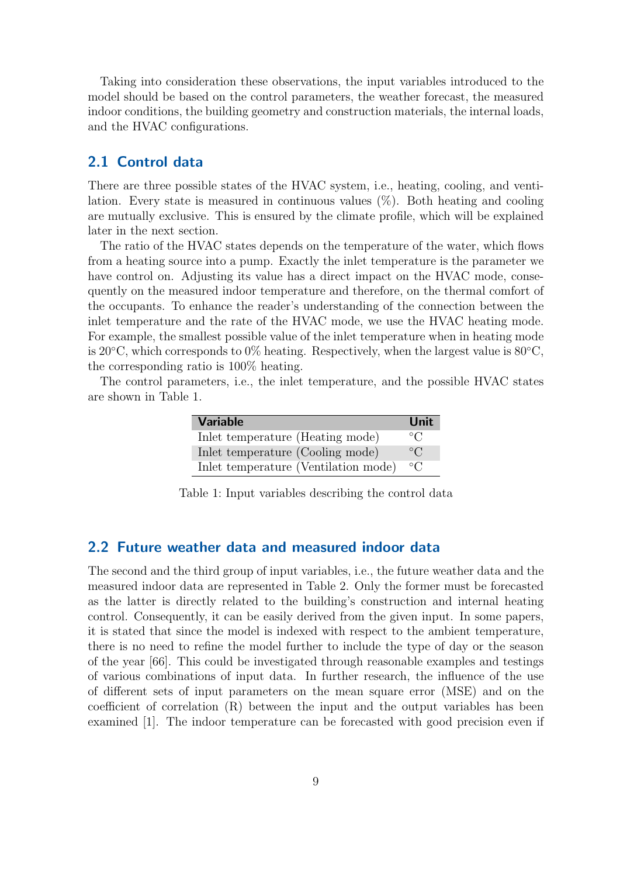Taking into consideration these observations, the input variables introduced to the model should be based on the control parameters, the weather forecast, the measured indoor conditions, the building geometry and construction materials, the internal loads, and the HVAC configurations.

### <span id="page-12-0"></span>2.1 Control data

There are three possible states of the HVAC system, i.e., heating, cooling, and ventilation. Every state is measured in continuous values (%). Both heating and cooling are mutually exclusive. This is ensured by the climate profile, which will be explained later in the next section.

The ratio of the HVAC states depends on the temperature of the water, which flows from a heating source into a pump. Exactly the inlet temperature is the parameter we have control on. Adjusting its value has a direct impact on the HVAC mode, consequently on the measured indoor temperature and therefore, on the thermal comfort of the occupants. To enhance the reader's understanding of the connection between the inlet temperature and the rate of the HVAC mode, we use the HVAC heating mode. For example, the smallest possible value of the inlet temperature when in heating mode is 20 $°C$ , which corresponds to 0% heating. Respectively, when the largest value is 80 $°C$ , the corresponding ratio is 100% heating.

<span id="page-12-2"></span>The control parameters, i.e., the inlet temperature, and the possible HVAC states are shown in Table [1.](#page-12-2)

| <b>Variable</b>                      | <b>Unit</b>  |
|--------------------------------------|--------------|
| Inlet temperature (Heating mode)     | $^{\circ}C$  |
| Inlet temperature (Cooling mode)     | $^{\circ}$ C |
| Inlet temperature (Ventilation mode) | $^{\circ}C$  |

Table 1: Input variables describing the control data

### <span id="page-12-1"></span>2.2 Future weather data and measured indoor data

The second and the third group of input variables, i.e., the future weather data and the measured indoor data are represented in Table [2.](#page-13-1) Only the former must be forecasted as the latter is directly related to the building's construction and internal heating control. Consequently, it can be easily derived from the given input. In some papers, it is stated that since the model is indexed with respect to the ambient temperature, there is no need to refine the model further to include the type of day or the season of the year [\[66\]](#page-50-3). This could be investigated through reasonable examples and testings of various combinations of input data. In further research, the influence of the use of different sets of input parameters on the mean square error (MSE) and on the coefficient of correlation (R) between the input and the output variables has been examined [\[1\]](#page-45-5). The indoor temperature can be forecasted with good precision even if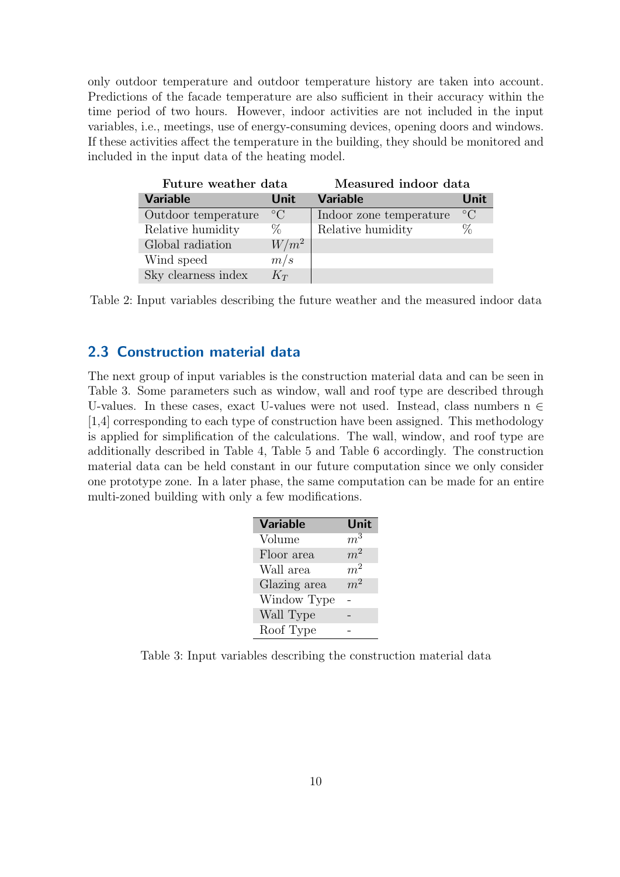only outdoor temperature and outdoor temperature history are taken into account. Predictions of the facade temperature are also sufficient in their accuracy within the time period of two hours. However, indoor activities are not included in the input variables, i.e., meetings, use of energy-consuming devices, opening doors and windows. If these activities affect the temperature in the building, they should be monitored and included in the input data of the heating model.

<span id="page-13-1"></span>

| Future weather data |           | Measured indoor data    |           |  |
|---------------------|-----------|-------------------------|-----------|--|
| <b>Variable</b>     | Unit      | <b>Variable</b>         | Unit      |  |
| Outdoor temperature | $\circ$ C | Indoor zone temperature | $\circ$ C |  |
| Relative humidity   | $\%$      | Relative humidity       | %         |  |
| Global radiation    | $W/m^2$   |                         |           |  |
| Wind speed          | m/s       |                         |           |  |
| Sky clearness index | $K_T$     |                         |           |  |

Table 2: Input variables describing the future weather and the measured indoor data

### <span id="page-13-0"></span>2.3 Construction material data

<span id="page-13-2"></span>The next group of input variables is the construction material data and can be seen in Table [3.](#page-13-2) Some parameters such as window, wall and roof type are described through U-values. In these cases, exact U-values were not used. Instead, class numbers  $n \in$ [1,4] corresponding to each type of construction have been assigned. This methodology is applied for simplification of the calculations. The wall, window, and roof type are additionally described in Table [4,](#page-14-1) Table [5](#page-14-2) and Table [6](#page-14-3) accordingly. The construction material data can be held constant in our future computation since we only consider one prototype zone. In a later phase, the same computation can be made for an entire multi-zoned building with only a few modifications.

| <b>Variable</b> | Unit           |
|-----------------|----------------|
| Volume          | m <sup>3</sup> |
| Floor area      | m <sup>2</sup> |
| Wall area       | m <sup>2</sup> |
| Glazing area    | $m^2$          |
| Window Type     |                |
| Wall Type       |                |
| Roof Type       |                |

Table 3: Input variables describing the construction material data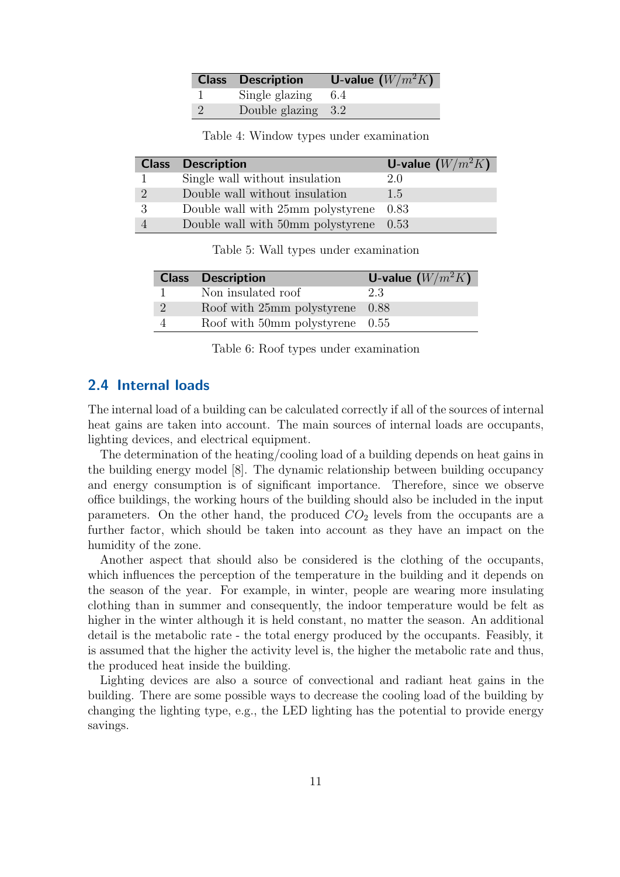| <b>Class Description</b> | <b>U-value</b> $(W/m^2K)$ |
|--------------------------|---------------------------|
| Single glazing $6.4$     |                           |
| Double glazing 3.2       |                           |

| Table 4: Window types under examination |  |  |  |
|-----------------------------------------|--|--|--|
|-----------------------------------------|--|--|--|

| <b>Class</b>   | <b>Description</b>                                 | <b>U-value</b> $(W/m^2K)$ |
|----------------|----------------------------------------------------|---------------------------|
|                | Single wall without insulation                     | 2.0                       |
| $\overline{2}$ | Double wall without insulation                     | 1.5                       |
| 3              | Double wall with 25mm polystyrene 0.83             |                           |
| $\overline{4}$ | Double wall with $50 \text{mm}$ polystyrene $0.53$ |                           |

Table 5: Wall types under examination

<span id="page-14-3"></span>

| <b>Class Description</b>                   | U-value $(W/m^2K)$ |
|--------------------------------------------|--------------------|
| Non insulated roof                         | 23                 |
| Roof with 25mm polystyrene 0.88            |                    |
| Roof with $50\text{mm}$ polystyrene $0.55$ |                    |

Table 6: Roof types under examination

### <span id="page-14-0"></span>2.4 Internal loads

<span id="page-14-2"></span><span id="page-14-1"></span>Ī

The internal load of a building can be calculated correctly if all of the sources of internal heat gains are taken into account. The main sources of internal loads are occupants, lighting devices, and electrical equipment.

The determination of the heating/cooling load of a building depends on heat gains in the building energy model [\[8\]](#page-45-9). The dynamic relationship between building occupancy and energy consumption is of significant importance. Therefore, since we observe office buildings, the working hours of the building should also be included in the input parameters. On the other hand, the produced  $CO<sub>2</sub>$  levels from the occupants are a further factor, which should be taken into account as they have an impact on the humidity of the zone.

Another aspect that should also be considered is the clothing of the occupants, which influences the perception of the temperature in the building and it depends on the season of the year. For example, in winter, people are wearing more insulating clothing than in summer and consequently, the indoor temperature would be felt as higher in the winter although it is held constant, no matter the season. An additional detail is the metabolic rate - the total energy produced by the occupants. Feasibly, it is assumed that the higher the activity level is, the higher the metabolic rate and thus, the produced heat inside the building.

Lighting devices are also a source of convectional and radiant heat gains in the building. There are some possible ways to decrease the cooling load of the building by changing the lighting type, e.g., the LED lighting has the potential to provide energy savings.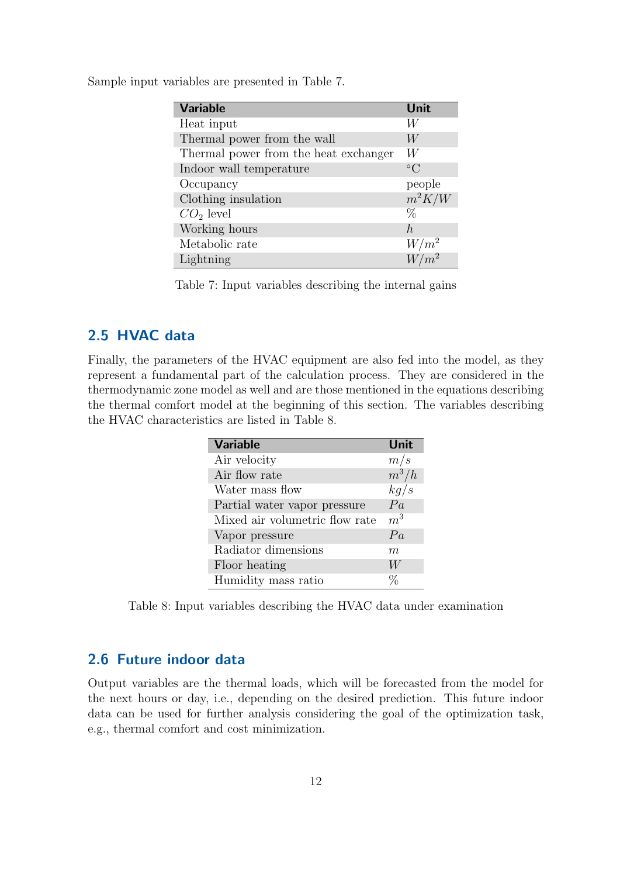<span id="page-15-2"></span>Sample input variables are presented in Table [7.](#page-15-2)

| <b>Variable</b>                       | Unit            |
|---------------------------------------|-----------------|
| Heat input                            | W               |
| Thermal power from the wall           | W               |
| Thermal power from the heat exchanger | W               |
| Indoor wall temperature               | $\rm ^{\circ}C$ |
| Occupancy                             | people          |
| Clothing insulation                   | $m^2K/W$        |
| $CO2$ level                           | $\%$            |
| Working hours                         | $\hbar$         |
| Metabolic rate                        | $W/m^2$         |
| Lightning                             | $W/m^2$         |

Table 7: Input variables describing the internal gains

### <span id="page-15-0"></span>2.5 HVAC data

<span id="page-15-3"></span>Finally, the parameters of the HVAC equipment are also fed into the model, as they represent a fundamental part of the calculation process. They are considered in the thermodynamic zone model as well and are those mentioned in the equations describing the thermal comfort model at the beginning of this section. The variables describing the HVAC characteristics are listed in Table [8.](#page-15-3)

| <b>Variable</b>                | Unit           |
|--------------------------------|----------------|
| Air velocity                   | m/s            |
| Air flow rate                  | $m^3/h$        |
| Water mass flow                | kg/s           |
| Partial water vapor pressure   | Pa             |
| Mixed air volumetric flow rate | m <sup>3</sup> |
| Vapor pressure                 | Pa             |
| Radiator dimensions            | m              |
| Floor heating                  | W              |
| Humidity mass ratio            |                |

Table 8: Input variables describing the HVAC data under examination

## <span id="page-15-1"></span>2.6 Future indoor data

Output variables are the thermal loads, which will be forecasted from the model for the next hours or day, i.e., depending on the desired prediction. This future indoor data can be used for further analysis considering the goal of the optimization task, e.g., thermal comfort and cost minimization.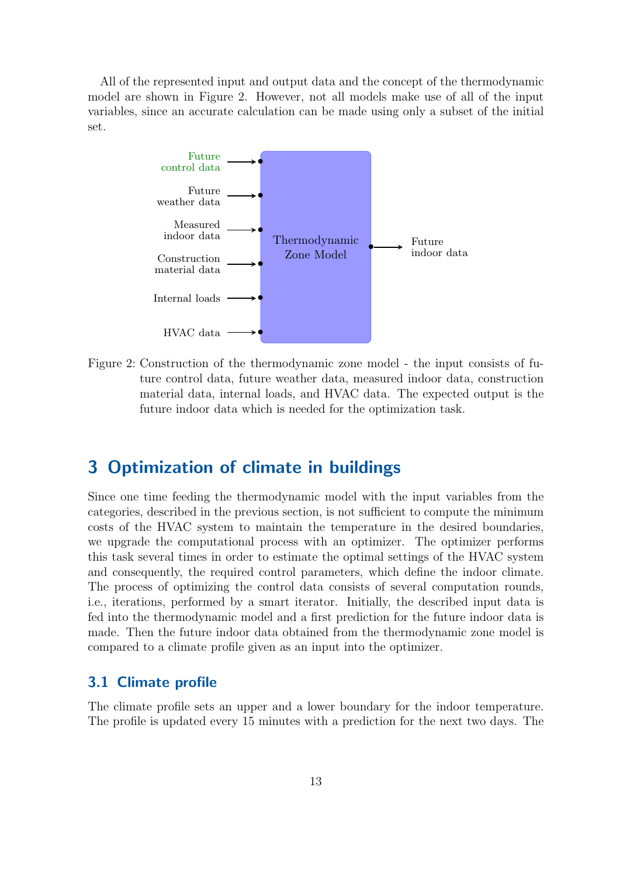All of the represented input and output data and the concept of the thermodynamic model are shown in Figure [2.](#page-16-2) However, not all models make use of all of the input variables, since an accurate calculation can be made using only a subset of the initial set.

<span id="page-16-2"></span>

Figure 2: Construction of the thermodynamic zone model - the input consists of future control data, future weather data, measured indoor data, construction material data, internal loads, and HVAC data. The expected output is the future indoor data which is needed for the optimization task.

# <span id="page-16-0"></span>3 Optimization of climate in buildings

Since one time feeding the thermodynamic model with the input variables from the categories, described in the previous section, is not sufficient to compute the minimum costs of the HVAC system to maintain the temperature in the desired boundaries, we upgrade the computational process with an optimizer. The optimizer performs this task several times in order to estimate the optimal settings of the HVAC system and consequently, the required control parameters, which define the indoor climate. The process of optimizing the control data consists of several computation rounds, i.e., iterations, performed by a smart iterator. Initially, the described input data is fed into the thermodynamic model and a first prediction for the future indoor data is made. Then the future indoor data obtained from the thermodynamic zone model is compared to a climate profile given as an input into the optimizer.

### <span id="page-16-1"></span>3.1 Climate profile

The climate profile sets an upper and a lower boundary for the indoor temperature. The profile is updated every 15 minutes with a prediction for the next two days. The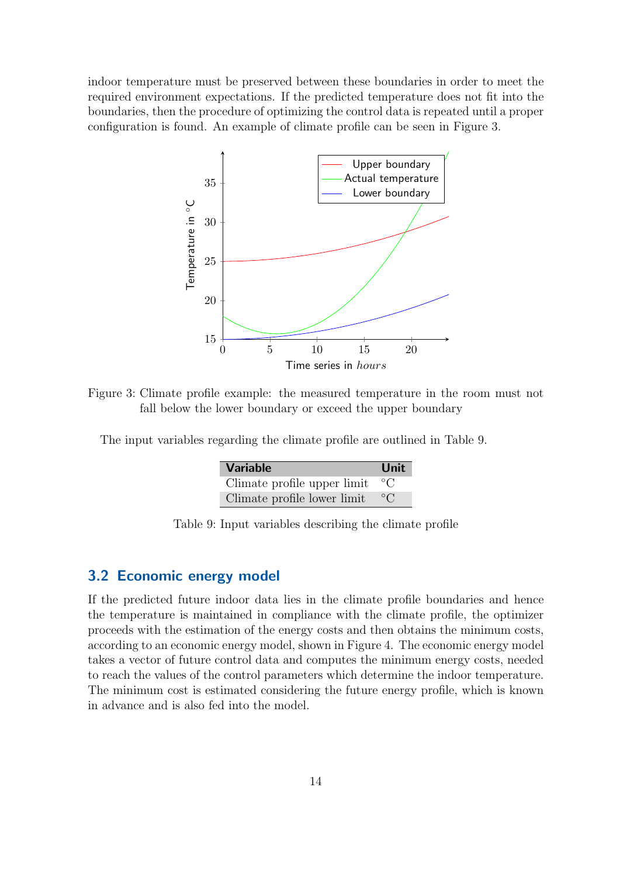<span id="page-17-1"></span>indoor temperature must be preserved between these boundaries in order to meet the required environment expectations. If the predicted temperature does not fit into the boundaries, then the procedure of optimizing the control data is repeated until a proper configuration is found. An example of climate profile can be seen in Figure [3.](#page-17-1)



Figure 3: Climate profile example: the measured temperature in the room must not fall below the lower boundary or exceed the upper boundary

<span id="page-17-2"></span>The input variables regarding the climate profile are outlined in Table [9.](#page-17-2)

| <b>Variable</b>             | <b>Unit</b>  |
|-----------------------------|--------------|
| Climate profile upper limit | $^{\circ}$ C |
| Climate profile lower limit | $\circ$ C    |

Table 9: Input variables describing the climate profile

### <span id="page-17-0"></span>3.2 Economic energy model

If the predicted future indoor data lies in the climate profile boundaries and hence the temperature is maintained in compliance with the climate profile, the optimizer proceeds with the estimation of the energy costs and then obtains the minimum costs, according to an economic energy model, shown in Figure [4.](#page-18-1) The economic energy model takes a vector of future control data and computes the minimum energy costs, needed to reach the values of the control parameters which determine the indoor temperature. The minimum cost is estimated considering the future energy profile, which is known in advance and is also fed into the model.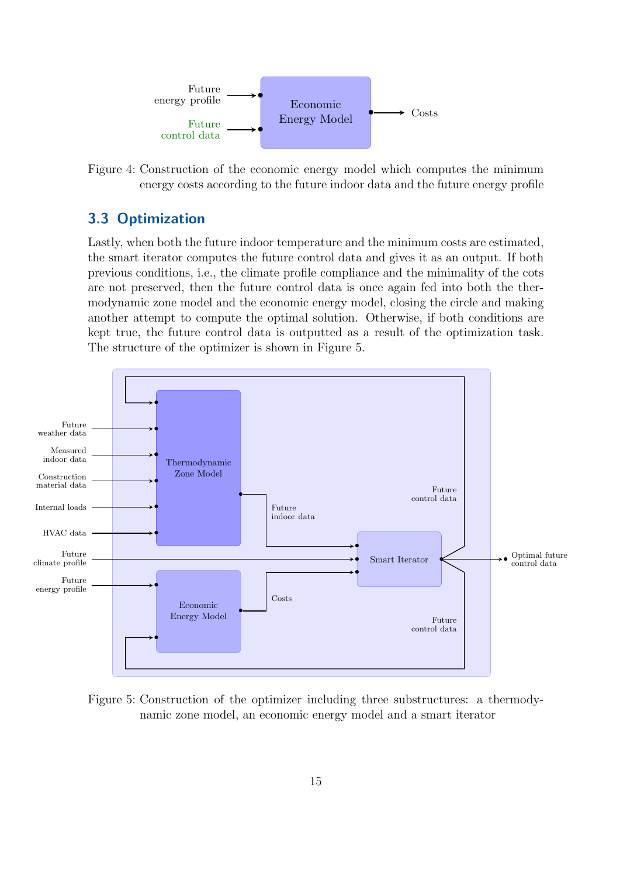<span id="page-18-1"></span>

Figure 4: Construction of the economic energy model which computes the minimum energy costs according to the future indoor data and the future energy profile

### <span id="page-18-0"></span>3.3 Optimization

Lastly, when both the future indoor temperature and the minimum costs are estimated, the smart iterator computes the future control data and gives it as an output. If both previous conditions, i.e., the climate profile compliance and the minimality of the cots are not preserved, then the future control data is once again fed into both the thermodynamic zone model and the economic energy model, closing the circle and making another attempt to compute the optimal solution. Otherwise, if both conditions are kept true, the future control data is outputted as a result of the optimization task. The structure of the optimizer is shown in Figure [5.](#page-18-2)

<span id="page-18-2"></span>

Figure 5: Construction of the optimizer including three substructures: a thermodynamic zone model, an economic energy model and a smart iterator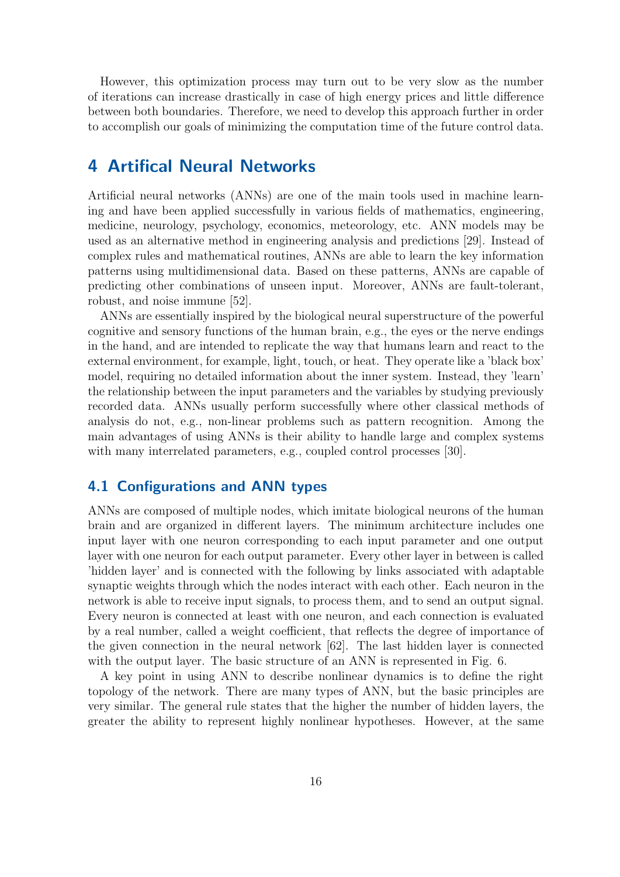However, this optimization process may turn out to be very slow as the number of iterations can increase drastically in case of high energy prices and little difference between both boundaries. Therefore, we need to develop this approach further in order to accomplish our goals of minimizing the computation time of the future control data.

## <span id="page-19-0"></span>4 Artifical Neural Networks

Artificial neural networks (ANNs) are one of the main tools used in machine learning and have been applied successfully in various fields of mathematics, engineering, medicine, neurology, psychology, economics, meteorology, etc. ANN models may be used as an alternative method in engineering analysis and predictions [\[29\]](#page-47-9). Instead of complex rules and mathematical routines, ANNs are able to learn the key information patterns using multidimensional data. Based on these patterns, ANNs are capable of predicting other combinations of unseen input. Moreover, ANNs are fault-tolerant, robust, and noise immune [\[52\]](#page-49-6).

ANNs are essentially inspired by the biological neural superstructure of the powerful cognitive and sensory functions of the human brain, e.g., the eyes or the nerve endings in the hand, and are intended to replicate the way that humans learn and react to the external environment, for example, light, touch, or heat. They operate like a 'black box' model, requiring no detailed information about the inner system. Instead, they 'learn' the relationship between the input parameters and the variables by studying previously recorded data. ANNs usually perform successfully where other classical methods of analysis do not, e.g., non-linear problems such as pattern recognition. Among the main advantages of using ANNs is their ability to handle large and complex systems with many interrelated parameters, e.g., coupled control processes [\[30\]](#page-47-10).

### <span id="page-19-1"></span>4.1 Configurations and ANN types

ANNs are composed of multiple nodes, which imitate biological neurons of the human brain and are organized in different layers. The minimum architecture includes one input layer with one neuron corresponding to each input parameter and one output layer with one neuron for each output parameter. Every other layer in between is called 'hidden layer' and is connected with the following by links associated with adaptable synaptic weights through which the nodes interact with each other. Each neuron in the network is able to receive input signals, to process them, and to send an output signal. Every neuron is connected at least with one neuron, and each connection is evaluated by a real number, called a weight coefficient, that reflects the degree of importance of the given connection in the neural network [\[62\]](#page-50-4). The last hidden layer is connected with the output layer. The basic structure of an ANN is represented in Fig. [6.](#page-20-1)

A key point in using ANN to describe nonlinear dynamics is to define the right topology of the network. There are many types of ANN, but the basic principles are very similar. The general rule states that the higher the number of hidden layers, the greater the ability to represent highly nonlinear hypotheses. However, at the same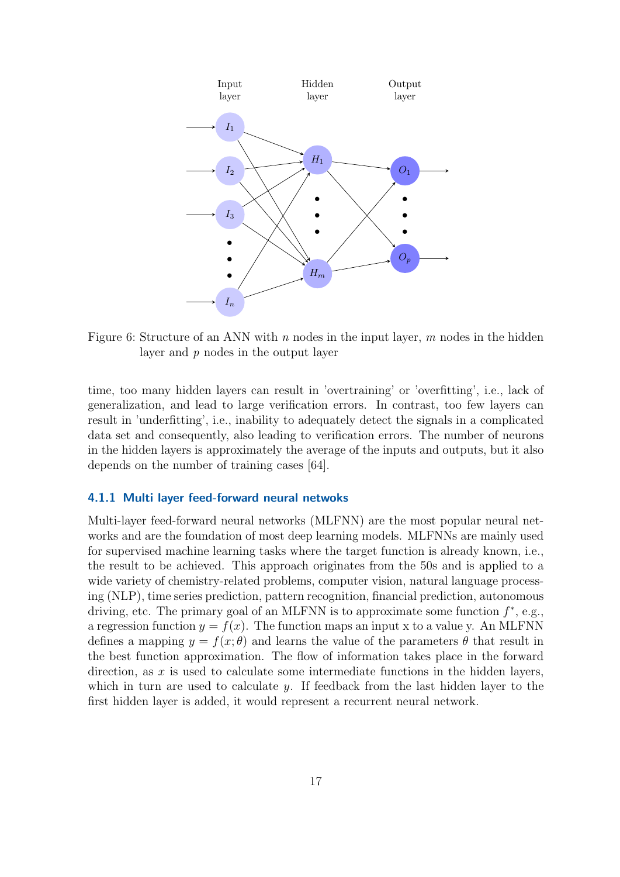<span id="page-20-1"></span>

Figure 6: Structure of an ANN with  $n$  nodes in the input layer,  $m$  nodes in the hidden layer and p nodes in the output layer

time, too many hidden layers can result in 'overtraining' or 'overfitting', i.e., lack of generalization, and lead to large verification errors. In contrast, too few layers can result in 'underfitting', i.e., inability to adequately detect the signals in a complicated data set and consequently, also leading to verification errors. The number of neurons in the hidden layers is approximately the average of the inputs and outputs, but it also depends on the number of training cases [\[64\]](#page-50-5).

#### <span id="page-20-0"></span>4.1.1 Multi layer feed-forward neural netwoks

Multi-layer feed-forward neural networks (MLFNN) are the most popular neural networks and are the foundation of most deep learning models. MLFNNs are mainly used for supervised machine learning tasks where the target function is already known, i.e., the result to be achieved. This approach originates from the 50s and is applied to a wide variety of chemistry-related problems, computer vision, natural language processing (NLP), time series prediction, pattern recognition, financial prediction, autonomous driving, etc. The primary goal of an MLFNN is to approximate some function  $f^*$ , e.g., a regression function  $y = f(x)$ . The function maps an input x to a value y. An MLFNN defines a mapping  $y = f(x; \theta)$  and learns the value of the parameters  $\theta$  that result in the best function approximation. The flow of information takes place in the forward direction, as  $x$  is used to calculate some intermediate functions in the hidden layers, which in turn are used to calculate y. If feedback from the last hidden layer to the first hidden layer is added, it would represent a recurrent neural network.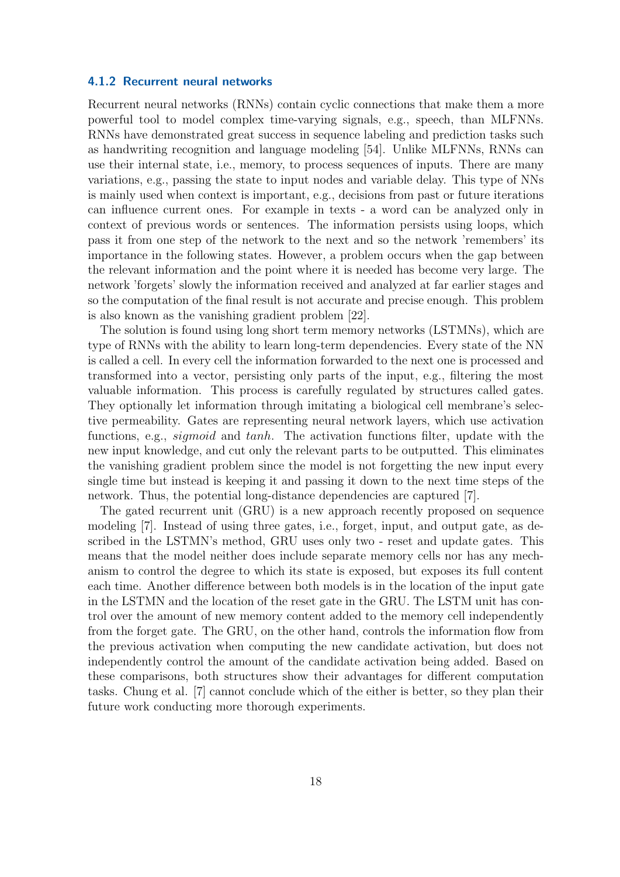#### <span id="page-21-0"></span>4.1.2 Recurrent neural networks

Recurrent neural networks (RNNs) contain cyclic connections that make them a more powerful tool to model complex time-varying signals, e.g., speech, than MLFNNs. RNNs have demonstrated great success in sequence labeling and prediction tasks such as handwriting recognition and language modeling [\[54\]](#page-49-7). Unlike MLFNNs, RNNs can use their internal state, i.e., memory, to process sequences of inputs. There are many variations, e.g., passing the state to input nodes and variable delay. This type of NNs is mainly used when context is important, e.g., decisions from past or future iterations can influence current ones. For example in texts - a word can be analyzed only in context of previous words or sentences. The information persists using loops, which pass it from one step of the network to the next and so the network 'remembers' its importance in the following states. However, a problem occurs when the gap between the relevant information and the point where it is needed has become very large. The network 'forgets' slowly the information received and analyzed at far earlier stages and so the computation of the final result is not accurate and precise enough. This problem is also known as the vanishing gradient problem [\[22\]](#page-46-8).

The solution is found using long short term memory networks (LSTMNs), which are type of RNNs with the ability to learn long-term dependencies. Every state of the NN is called a cell. In every cell the information forwarded to the next one is processed and transformed into a vector, persisting only parts of the input, e.g., filtering the most valuable information. This process is carefully regulated by structures called gates. They optionally let information through imitating a biological cell membrane's selective permeability. Gates are representing neural network layers, which use activation functions, e.g., *sigmoid* and tanh. The activation functions filter, update with the new input knowledge, and cut only the relevant parts to be outputted. This eliminates the vanishing gradient problem since the model is not forgetting the new input every single time but instead is keeping it and passing it down to the next time steps of the network. Thus, the potential long-distance dependencies are captured [\[7\]](#page-45-10).

The gated recurrent unit (GRU) is a new approach recently proposed on sequence modeling [\[7\]](#page-45-10). Instead of using three gates, i.e., forget, input, and output gate, as described in the LSTMN's method, GRU uses only two - reset and update gates. This means that the model neither does include separate memory cells nor has any mechanism to control the degree to which its state is exposed, but exposes its full content each time. Another difference between both models is in the location of the input gate in the LSTMN and the location of the reset gate in the GRU. The LSTM unit has control over the amount of new memory content added to the memory cell independently from the forget gate. The GRU, on the other hand, controls the information flow from the previous activation when computing the new candidate activation, but does not independently control the amount of the candidate activation being added. Based on these comparisons, both structures show their advantages for different computation tasks. Chung et al. [\[7\]](#page-45-10) cannot conclude which of the either is better, so they plan their future work conducting more thorough experiments.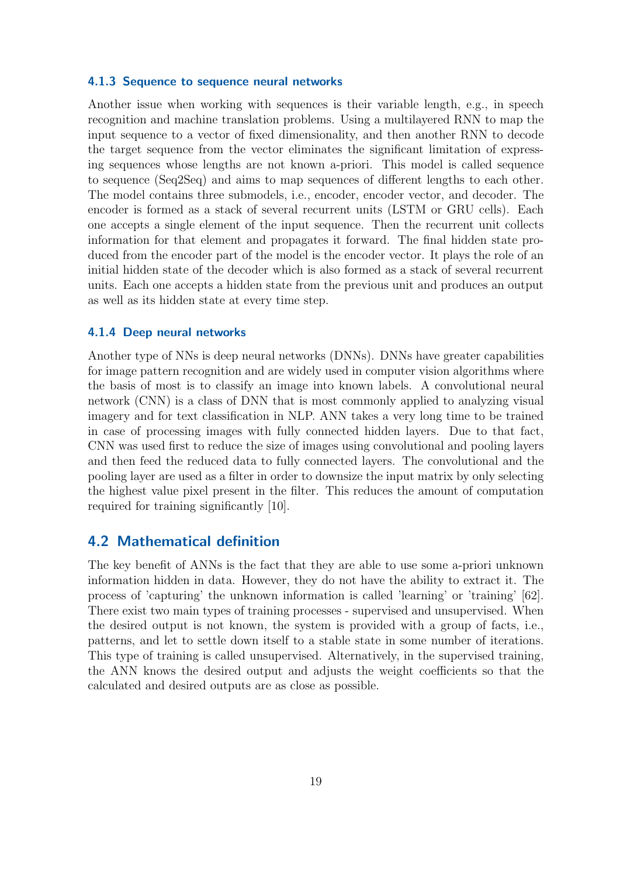#### <span id="page-22-0"></span>4.1.3 Sequence to sequence neural networks

Another issue when working with sequences is their variable length, e.g., in speech recognition and machine translation problems. Using a multilayered RNN to map the input sequence to a vector of fixed dimensionality, and then another RNN to decode the target sequence from the vector eliminates the significant limitation of expressing sequences whose lengths are not known a-priori. This model is called sequence to sequence (Seq2Seq) and aims to map sequences of different lengths to each other. The model contains three submodels, i.e., encoder, encoder vector, and decoder. The encoder is formed as a stack of several recurrent units (LSTM or GRU cells). Each one accepts a single element of the input sequence. Then the recurrent unit collects information for that element and propagates it forward. The final hidden state produced from the encoder part of the model is the encoder vector. It plays the role of an initial hidden state of the decoder which is also formed as a stack of several recurrent units. Each one accepts a hidden state from the previous unit and produces an output as well as its hidden state at every time step.

#### <span id="page-22-1"></span>4.1.4 Deep neural networks

Another type of NNs is deep neural networks (DNNs). DNNs have greater capabilities for image pattern recognition and are widely used in computer vision algorithms where the basis of most is to classify an image into known labels. A convolutional neural network (CNN) is a class of DNN that is most commonly applied to analyzing visual imagery and for text classification in NLP. ANN takes a very long time to be trained in case of processing images with fully connected hidden layers. Due to that fact, CNN was used first to reduce the size of images using convolutional and pooling layers and then feed the reduced data to fully connected layers. The convolutional and the pooling layer are used as a filter in order to downsize the input matrix by only selecting the highest value pixel present in the filter. This reduces the amount of computation required for training significantly [\[10\]](#page-45-11).

### <span id="page-22-2"></span>4.2 Mathematical definition

The key benefit of ANNs is the fact that they are able to use some a-priori unknown information hidden in data. However, they do not have the ability to extract it. The process of 'capturing' the unknown information is called 'learning' or 'training' [\[62\]](#page-50-4). There exist two main types of training processes - supervised and unsupervised. When the desired output is not known, the system is provided with a group of facts, i.e., patterns, and let to settle down itself to a stable state in some number of iterations. This type of training is called unsupervised. Alternatively, in the supervised training, the ANN knows the desired output and adjusts the weight coefficients so that the calculated and desired outputs are as close as possible.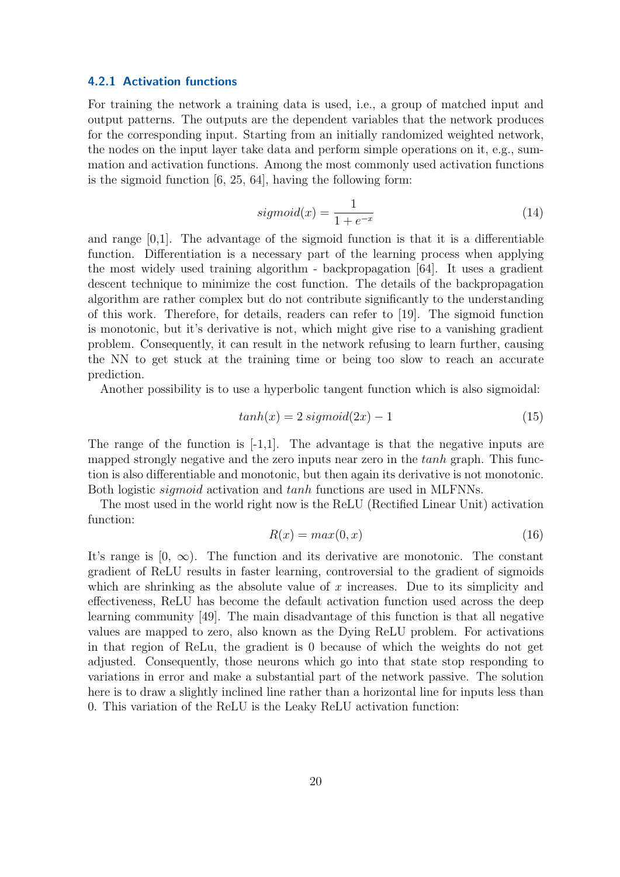#### <span id="page-23-0"></span>4.2.1 Activation functions

For training the network a training data is used, i.e., a group of matched input and output patterns. The outputs are the dependent variables that the network produces for the corresponding input. Starting from an initially randomized weighted network, the nodes on the input layer take data and perform simple operations on it, e.g., summation and activation functions. Among the most commonly used activation functions is the sigmoid function [\[6,](#page-45-12) [25,](#page-46-1) [64\]](#page-50-5), having the following form:

$$
sigmoid(x) = \frac{1}{1 + e^{-x}}\tag{14}
$$

and range  $[0,1]$ . The advantage of the sigmoid function is that it is a differentiable function. Differentiation is a necessary part of the learning process when applying the most widely used training algorithm - backpropagation [\[64\]](#page-50-5). It uses a gradient descent technique to minimize the cost function. The details of the backpropagation algorithm are rather complex but do not contribute significantly to the understanding of this work. Therefore, for details, readers can refer to [\[19\]](#page-46-9). The sigmoid function is monotonic, but it's derivative is not, which might give rise to a vanishing gradient problem. Consequently, it can result in the network refusing to learn further, causing the NN to get stuck at the training time or being too slow to reach an accurate prediction.

Another possibility is to use a hyperbolic tangent function which is also sigmoidal:

$$
tanh(x) = 2 \text{ sigmoid}(2x) - 1 \tag{15}
$$

The range of the function is  $[-1,1]$ . The advantage is that the negative inputs are mapped strongly negative and the zero inputs near zero in the tanh graph. This function is also differentiable and monotonic, but then again its derivative is not monotonic. Both logistic sigmoid activation and tanh functions are used in MLFNNs.

The most used in the world right now is the ReLU (Rectified Linear Unit) activation function:

$$
R(x) = max(0, x) \tag{16}
$$

It's range is  $[0, \infty)$ . The function and its derivative are monotonic. The constant gradient of ReLU results in faster learning, controversial to the gradient of sigmoids which are shrinking as the absolute value of  $x$  increases. Due to its simplicity and effectiveness, ReLU has become the default activation function used across the deep learning community [\[49\]](#page-48-11). The main disadvantage of this function is that all negative values are mapped to zero, also known as the Dying ReLU problem. For activations in that region of ReLu, the gradient is 0 because of which the weights do not get adjusted. Consequently, those neurons which go into that state stop responding to variations in error and make a substantial part of the network passive. The solution here is to draw a slightly inclined line rather than a horizontal line for inputs less than 0. This variation of the ReLU is the Leaky ReLU activation function: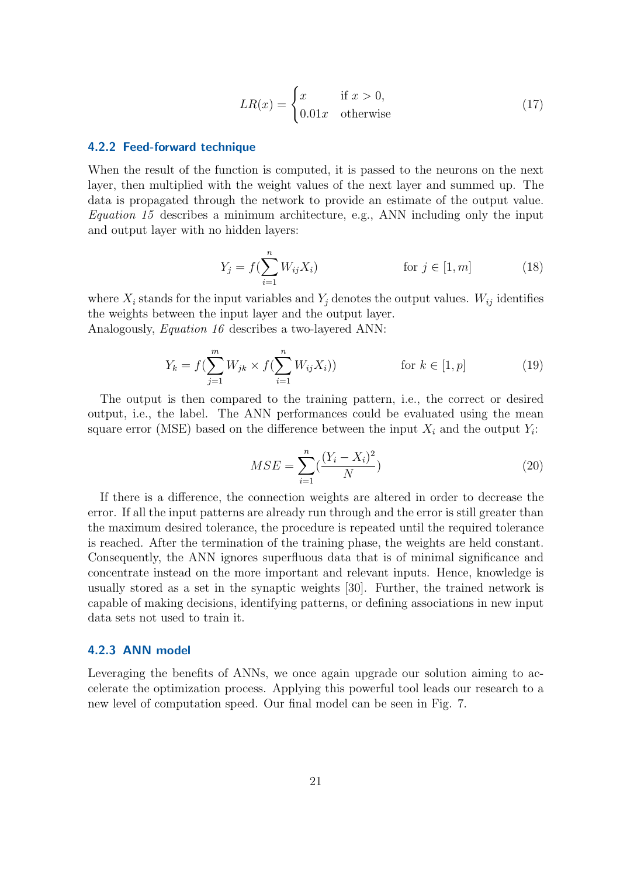$$
LR(x) = \begin{cases} x & \text{if } x > 0, \\ 0.01x & \text{otherwise} \end{cases}
$$
 (17)

#### <span id="page-24-0"></span>4.2.2 Feed-forward technique

When the result of the function is computed, it is passed to the neurons on the next layer, then multiplied with the weight values of the next layer and summed up. The data is propagated through the network to provide an estimate of the output value. Equation 15 describes a minimum architecture, e.g., ANN including only the input and output layer with no hidden layers:

$$
Y_j = f(\sum_{i=1}^n W_{ij} X_i)
$$
 for  $j \in [1, m]$  (18)

where  $X_i$  stands for the input variables and  $Y_j$  denotes the output values.  $W_{ij}$  identifies the weights between the input layer and the output layer. Analogously, Equation 16 describes a two-layered ANN:

$$
Y_k = f(\sum_{j=1}^m W_{jk} \times f(\sum_{i=1}^n W_{ij} X_i)) \qquad \text{for } k \in [1, p]
$$
 (19)

The output is then compared to the training pattern, i.e., the correct or desired output, i.e., the label. The ANN performances could be evaluated using the mean square error (MSE) based on the difference between the input  $X_i$  and the output  $Y_i$ :

$$
MSE = \sum_{i=1}^{n} \left(\frac{(Y_i - X_i)^2}{N}\right)
$$
\n(20)

If there is a difference, the connection weights are altered in order to decrease the error. If all the input patterns are already run through and the error is still greater than the maximum desired tolerance, the procedure is repeated until the required tolerance is reached. After the termination of the training phase, the weights are held constant. Consequently, the ANN ignores superfluous data that is of minimal significance and concentrate instead on the more important and relevant inputs. Hence, knowledge is usually stored as a set in the synaptic weights [\[30\]](#page-47-10). Further, the trained network is capable of making decisions, identifying patterns, or defining associations in new input data sets not used to train it.

#### <span id="page-24-1"></span>4.2.3 ANN model

Leveraging the benefits of ANNs, we once again upgrade our solution aiming to accelerate the optimization process. Applying this powerful tool leads our research to a new level of computation speed. Our final model can be seen in Fig. [7.](#page-25-2)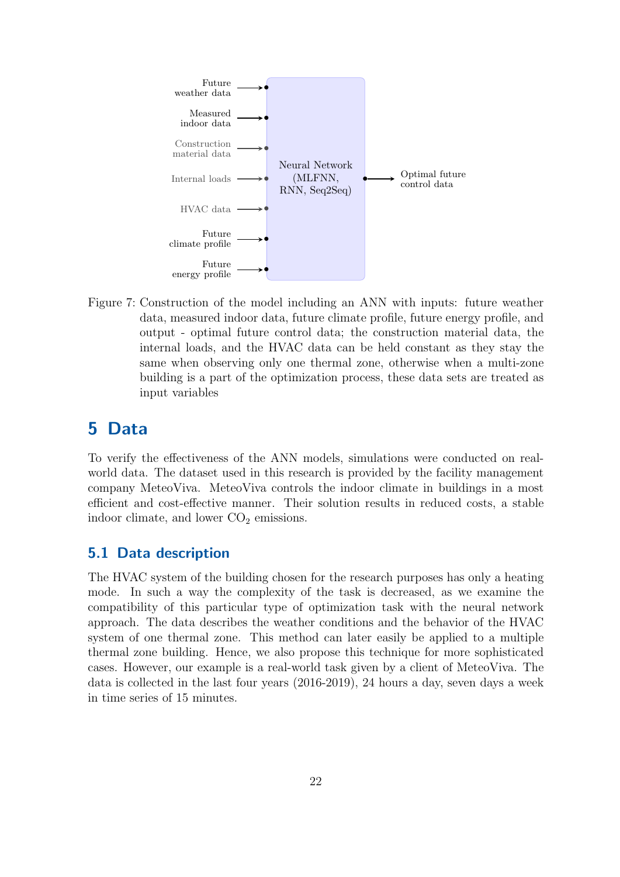<span id="page-25-2"></span>

Figure 7: Construction of the model including an ANN with inputs: future weather data, measured indoor data, future climate profile, future energy profile, and output - optimal future control data; the construction material data, the internal loads, and the HVAC data can be held constant as they stay the same when observing only one thermal zone, otherwise when a multi-zone building is a part of the optimization process, these data sets are treated as input variables

# <span id="page-25-0"></span>5 Data

To verify the effectiveness of the ANN models, simulations were conducted on realworld data. The dataset used in this research is provided by the facility management company MeteoViva. MeteoViva controls the indoor climate in buildings in a most efficient and cost-effective manner. Their solution results in reduced costs, a stable indoor climate, and lower  $CO<sub>2</sub>$  emissions.

### <span id="page-25-1"></span>5.1 Data description

The HVAC system of the building chosen for the research purposes has only a heating mode. In such a way the complexity of the task is decreased, as we examine the compatibility of this particular type of optimization task with the neural network approach. The data describes the weather conditions and the behavior of the HVAC system of one thermal zone. This method can later easily be applied to a multiple thermal zone building. Hence, we also propose this technique for more sophisticated cases. However, our example is a real-world task given by a client of MeteoViva. The data is collected in the last four years (2016-2019), 24 hours a day, seven days a week in time series of 15 minutes.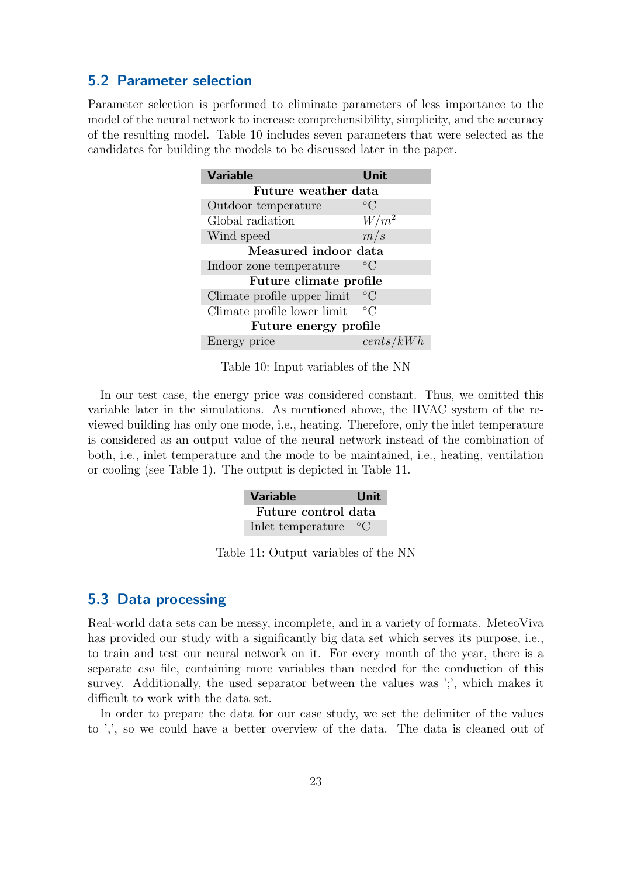### <span id="page-26-0"></span>5.2 Parameter selection

<span id="page-26-2"></span>Parameter selection is performed to eliminate parameters of less importance to the model of the neural network to increase comprehensibility, simplicity, and the accuracy of the resulting model. Table [10](#page-26-2) includes seven parameters that were selected as the candidates for building the models to be discussed later in the paper.

| <b>Variable</b>             | Unit            |  |  |  |
|-----------------------------|-----------------|--|--|--|
| Future weather data         |                 |  |  |  |
| Outdoor temperature         | $^{\circ}C$     |  |  |  |
| Global radiation            | $W/m^2$         |  |  |  |
| Wind speed                  | m/s             |  |  |  |
| Measured indoor data        |                 |  |  |  |
| Indoor zone temperature     | $^{\circ}C$     |  |  |  |
| Future climate profile      |                 |  |  |  |
| Climate profile upper limit | $\rm ^{\circ}C$ |  |  |  |
| Climate profile lower limit | $^{\circ}C$     |  |  |  |
| Future energy profile       |                 |  |  |  |
| Energy price                | cents/kWh       |  |  |  |

Table 10: Input variables of the NN

<span id="page-26-3"></span>In our test case, the energy price was considered constant. Thus, we omitted this variable later in the simulations. As mentioned above, the HVAC system of the reviewed building has only one mode, i.e., heating. Therefore, only the inlet temperature is considered as an output value of the neural network instead of the combination of both, i.e., inlet temperature and the mode to be maintained, i.e., heating, ventilation or cooling (see Table [1\)](#page-12-2). The output is depicted in Table [11.](#page-26-3)

| <b>Variable</b>     | Unit        |
|---------------------|-------------|
| Future control data |             |
| Inlet temperature   | $\circ$ ( ) |

Table 11: Output variables of the NN

### <span id="page-26-1"></span>5.3 Data processing

Real-world data sets can be messy, incomplete, and in a variety of formats. MeteoViva has provided our study with a significantly big data set which serves its purpose, i.e., to train and test our neural network on it. For every month of the year, there is a separate csv file, containing more variables than needed for the conduction of this survey. Additionally, the used separator between the values was ';', which makes it difficult to work with the data set.

In order to prepare the data for our case study, we set the delimiter of the values to ',', so we could have a better overview of the data. The data is cleaned out of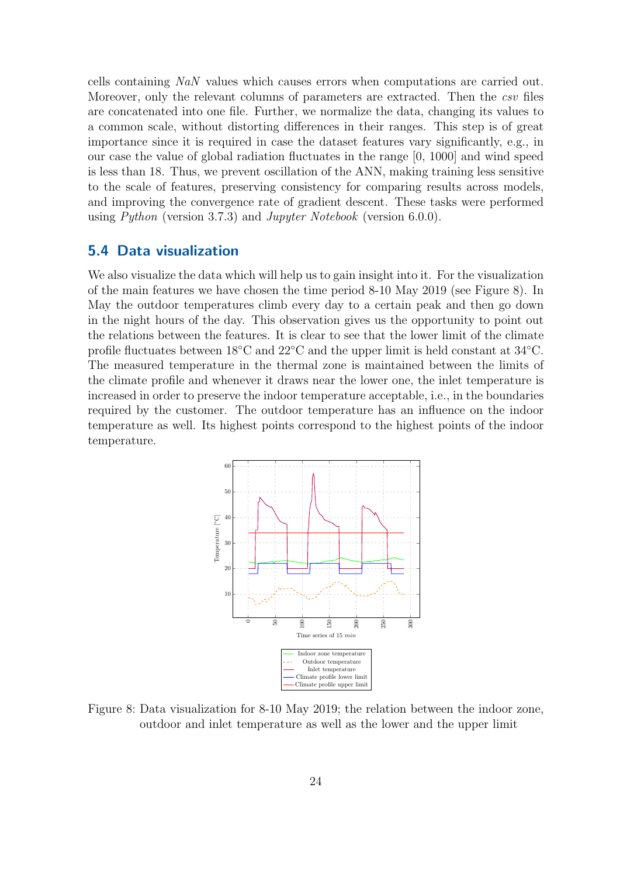cells containing NaN values which causes errors when computations are carried out. Moreover, only the relevant columns of parameters are extracted. Then the *csv* files are concatenated into one file. Further, we normalize the data, changing its values to a common scale, without distorting differences in their ranges. This step is of great importance since it is required in case the dataset features vary significantly, e.g., in our case the value of global radiation fluctuates in the range [0, 1000] and wind speed is less than 18. Thus, we prevent oscillation of the ANN, making training less sensitive to the scale of features, preserving consistency for comparing results across models, and improving the convergence rate of gradient descent. These tasks were performed using Python (version 3.7.3) and Jupyter Notebook (version 6.0.0).

### <span id="page-27-0"></span>5.4 Data visualization

We also visualize the data which will help us to gain insight into it. For the visualization of the main features we have chosen the time period 8-10 May 2019 (see Figure [8\)](#page-27-1). In May the outdoor temperatures climb every day to a certain peak and then go down in the night hours of the day. This observation gives us the opportunity to point out the relations between the features. It is clear to see that the lower limit of the climate profile fluctuates between 18◦C and 22◦C and the upper limit is held constant at 34◦C. The measured temperature in the thermal zone is maintained between the limits of the climate profile and whenever it draws near the lower one, the inlet temperature is increased in order to preserve the indoor temperature acceptable, i.e., in the boundaries required by the customer. The outdoor temperature has an influence on the indoor temperature as well. Its highest points correspond to the highest points of the indoor temperature.

<span id="page-27-1"></span>

Figure 8: Data visualization for 8-10 May 2019; the relation between the indoor zone, outdoor and inlet temperature as well as the lower and the upper limit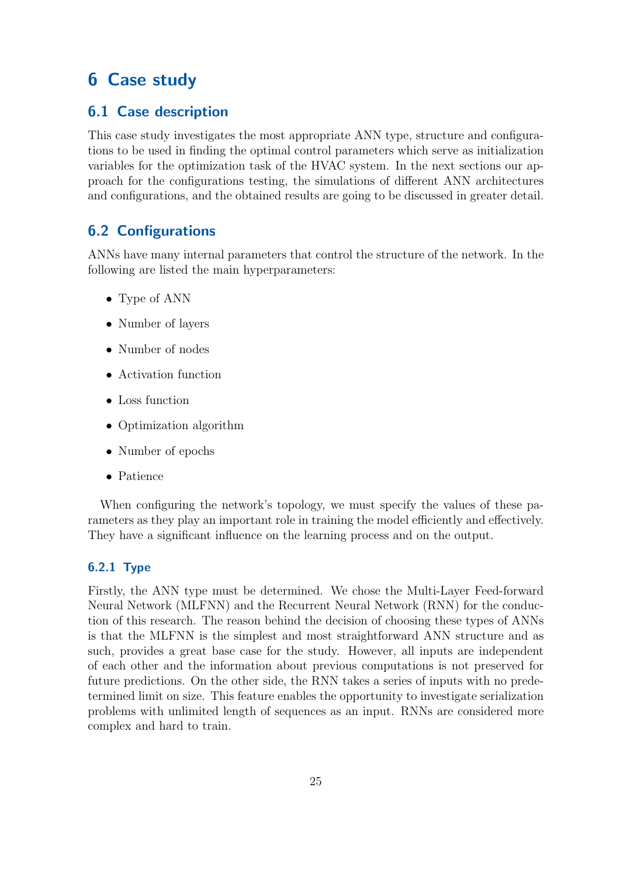# <span id="page-28-0"></span>6 Case study

## <span id="page-28-1"></span>6.1 Case description

This case study investigates the most appropriate ANN type, structure and configurations to be used in finding the optimal control parameters which serve as initialization variables for the optimization task of the HVAC system. In the next sections our approach for the configurations testing, the simulations of different ANN architectures and configurations, and the obtained results are going to be discussed in greater detail.

### <span id="page-28-2"></span>6.2 Configurations

ANNs have many internal parameters that control the structure of the network. In the following are listed the main hyperparameters:

- Type of ANN
- Number of layers
- Number of nodes
- Activation function
- Loss function
- Optimization algorithm
- Number of epochs
- Patience

When configuring the network's topology, we must specify the values of these parameters as they play an important role in training the model efficiently and effectively. They have a significant influence on the learning process and on the output.

### <span id="page-28-3"></span>6.2.1 Type

Firstly, the ANN type must be determined. We chose the Multi-Layer Feed-forward Neural Network (MLFNN) and the Recurrent Neural Network (RNN) for the conduction of this research. The reason behind the decision of choosing these types of ANNs is that the MLFNN is the simplest and most straightforward ANN structure and as such, provides a great base case for the study. However, all inputs are independent of each other and the information about previous computations is not preserved for future predictions. On the other side, the RNN takes a series of inputs with no predetermined limit on size. This feature enables the opportunity to investigate serialization problems with unlimited length of sequences as an input. RNNs are considered more complex and hard to train.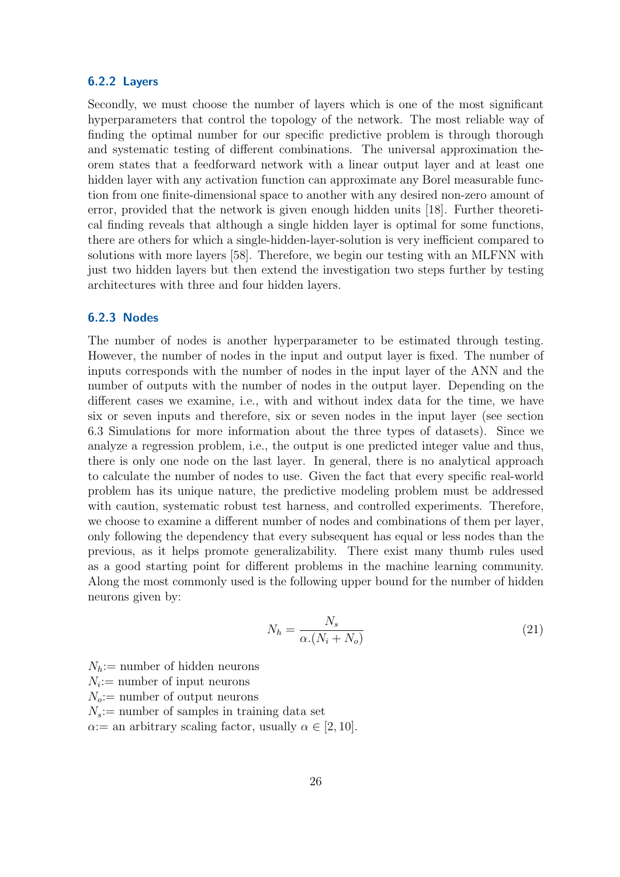#### <span id="page-29-0"></span>6.2.2 Layers

Secondly, we must choose the number of layers which is one of the most significant hyperparameters that control the topology of the network. The most reliable way of finding the optimal number for our specific predictive problem is through thorough and systematic testing of different combinations. The universal approximation theorem states that a feedforward network with a linear output layer and at least one hidden layer with any activation function can approximate any Borel measurable function from one finite-dimensional space to another with any desired non-zero amount of error, provided that the network is given enough hidden units [\[18\]](#page-46-10). Further theoretical finding reveals that although a single hidden layer is optimal for some functions, there are others for which a single-hidden-layer-solution is very inefficient compared to solutions with more layers [\[58\]](#page-49-8). Therefore, we begin our testing with an MLFNN with just two hidden layers but then extend the investigation two steps further by testing architectures with three and four hidden layers.

#### <span id="page-29-1"></span>6.2.3 Nodes

The number of nodes is another hyperparameter to be estimated through testing. However, the number of nodes in the input and output layer is fixed. The number of inputs corresponds with the number of nodes in the input layer of the ANN and the number of outputs with the number of nodes in the output layer. Depending on the different cases we examine, i.e., with and without index data for the time, we have six or seven inputs and therefore, six or seven nodes in the input layer (see section 6.3 Simulations for more information about the three types of datasets). Since we analyze a regression problem, i.e., the output is one predicted integer value and thus, there is only one node on the last layer. In general, there is no analytical approach to calculate the number of nodes to use. Given the fact that every specific real-world problem has its unique nature, the predictive modeling problem must be addressed with caution, systematic robust test harness, and controlled experiments. Therefore, we choose to examine a different number of nodes and combinations of them per layer, only following the dependency that every subsequent has equal or less nodes than the previous, as it helps promote generalizability. There exist many thumb rules used as a good starting point for different problems in the machine learning community. Along the most commonly used is the following upper bound for the number of hidden neurons given by:

$$
N_h = \frac{N_s}{\alpha \left( N_i + N_o \right)}\tag{21}
$$

 $N_h$ : = number of hidden neurons  $N_i$ : = number of input neurons  $N_o:=$  number of output neurons  $N_s$ : = number of samples in training data set

 $\alpha$ : an arbitrary scaling factor, usually  $\alpha \in [2, 10]$ .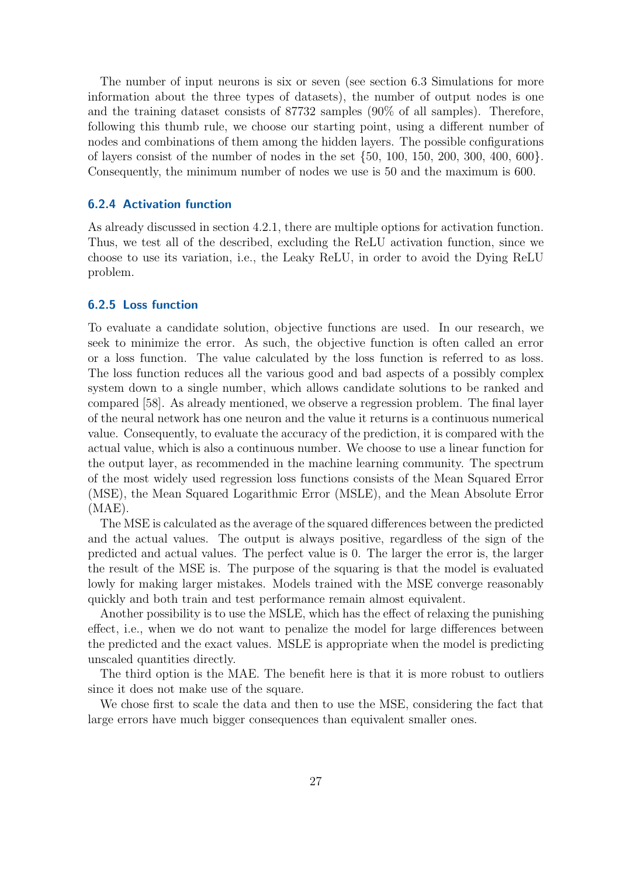The number of input neurons is six or seven (see section 6.3 Simulations for more information about the three types of datasets), the number of output nodes is one and the training dataset consists of 87732 samples (90% of all samples). Therefore, following this thumb rule, we choose our starting point, using a different number of nodes and combinations of them among the hidden layers. The possible configurations of layers consist of the number of nodes in the set {50, 100, 150, 200, 300, 400, 600}. Consequently, the minimum number of nodes we use is 50 and the maximum is 600.

#### <span id="page-30-0"></span>6.2.4 Activation function

As already discussed in section 4.2.1, there are multiple options for activation function. Thus, we test all of the described, excluding the ReLU activation function, since we choose to use its variation, i.e., the Leaky ReLU, in order to avoid the Dying ReLU problem.

#### <span id="page-30-1"></span>6.2.5 Loss function

To evaluate a candidate solution, objective functions are used. In our research, we seek to minimize the error. As such, the objective function is often called an error or a loss function. The value calculated by the loss function is referred to as loss. The loss function reduces all the various good and bad aspects of a possibly complex system down to a single number, which allows candidate solutions to be ranked and compared [\[58\]](#page-49-8). As already mentioned, we observe a regression problem. The final layer of the neural network has one neuron and the value it returns is a continuous numerical value. Consequently, to evaluate the accuracy of the prediction, it is compared with the actual value, which is also a continuous number. We choose to use a linear function for the output layer, as recommended in the machine learning community. The spectrum of the most widely used regression loss functions consists of the Mean Squared Error (MSE), the Mean Squared Logarithmic Error (MSLE), and the Mean Absolute Error (MAE).

The MSE is calculated as the average of the squared differences between the predicted and the actual values. The output is always positive, regardless of the sign of the predicted and actual values. The perfect value is 0. The larger the error is, the larger the result of the MSE is. The purpose of the squaring is that the model is evaluated lowly for making larger mistakes. Models trained with the MSE converge reasonably quickly and both train and test performance remain almost equivalent.

Another possibility is to use the MSLE, which has the effect of relaxing the punishing effect, i.e., when we do not want to penalize the model for large differences between the predicted and the exact values. MSLE is appropriate when the model is predicting unscaled quantities directly.

The third option is the MAE. The benefit here is that it is more robust to outliers since it does not make use of the square.

We chose first to scale the data and then to use the MSE, considering the fact that large errors have much bigger consequences than equivalent smaller ones.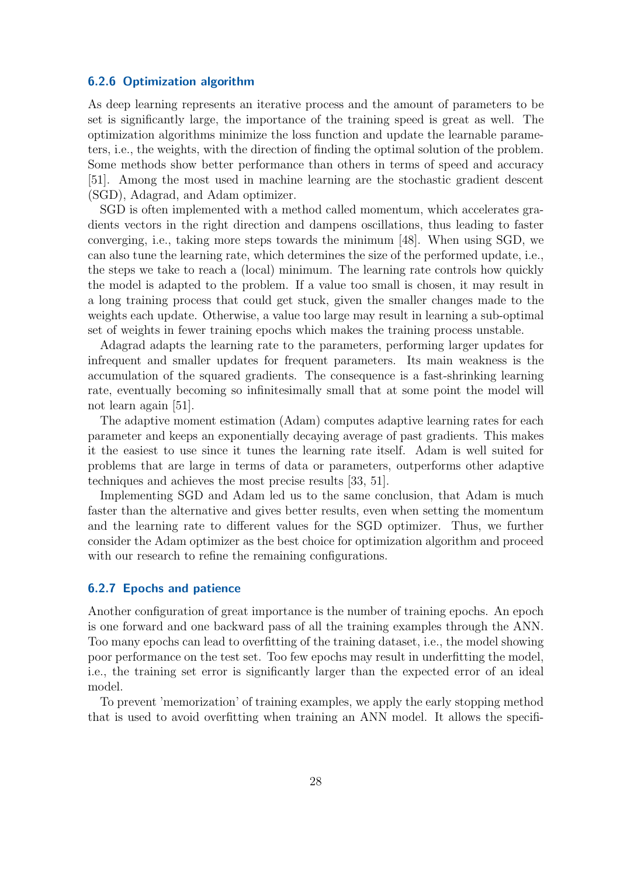#### <span id="page-31-0"></span>6.2.6 Optimization algorithm

As deep learning represents an iterative process and the amount of parameters to be set is significantly large, the importance of the training speed is great as well. The optimization algorithms minimize the loss function and update the learnable parameters, i.e., the weights, with the direction of finding the optimal solution of the problem. Some methods show better performance than others in terms of speed and accuracy [\[51\]](#page-49-9). Among the most used in machine learning are the stochastic gradient descent (SGD), Adagrad, and Adam optimizer.

SGD is often implemented with a method called momentum, which accelerates gradients vectors in the right direction and dampens oscillations, thus leading to faster converging, i.e., taking more steps towards the minimum [\[48\]](#page-48-12). When using SGD, we can also tune the learning rate, which determines the size of the performed update, i.e., the steps we take to reach a (local) minimum. The learning rate controls how quickly the model is adapted to the problem. If a value too small is chosen, it may result in a long training process that could get stuck, given the smaller changes made to the weights each update. Otherwise, a value too large may result in learning a sub-optimal set of weights in fewer training epochs which makes the training process unstable.

Adagrad adapts the learning rate to the parameters, performing larger updates for infrequent and smaller updates for frequent parameters. Its main weakness is the accumulation of the squared gradients. The consequence is a fast-shrinking learning rate, eventually becoming so infinitesimally small that at some point the model will not learn again [\[51\]](#page-49-9).

The adaptive moment estimation (Adam) computes adaptive learning rates for each parameter and keeps an exponentially decaying average of past gradients. This makes it the easiest to use since it tunes the learning rate itself. Adam is well suited for problems that are large in terms of data or parameters, outperforms other adaptive techniques and achieves the most precise results [\[33,](#page-47-11) [51\]](#page-49-9).

Implementing SGD and Adam led us to the same conclusion, that Adam is much faster than the alternative and gives better results, even when setting the momentum and the learning rate to different values for the SGD optimizer. Thus, we further consider the Adam optimizer as the best choice for optimization algorithm and proceed with our research to refine the remaining configurations.

#### <span id="page-31-1"></span>6.2.7 Epochs and patience

Another configuration of great importance is the number of training epochs. An epoch is one forward and one backward pass of all the training examples through the ANN. Too many epochs can lead to overfitting of the training dataset, i.e., the model showing poor performance on the test set. Too few epochs may result in underfitting the model, i.e., the training set error is significantly larger than the expected error of an ideal model.

To prevent 'memorization' of training examples, we apply the early stopping method that is used to avoid overfitting when training an ANN model. It allows the specifi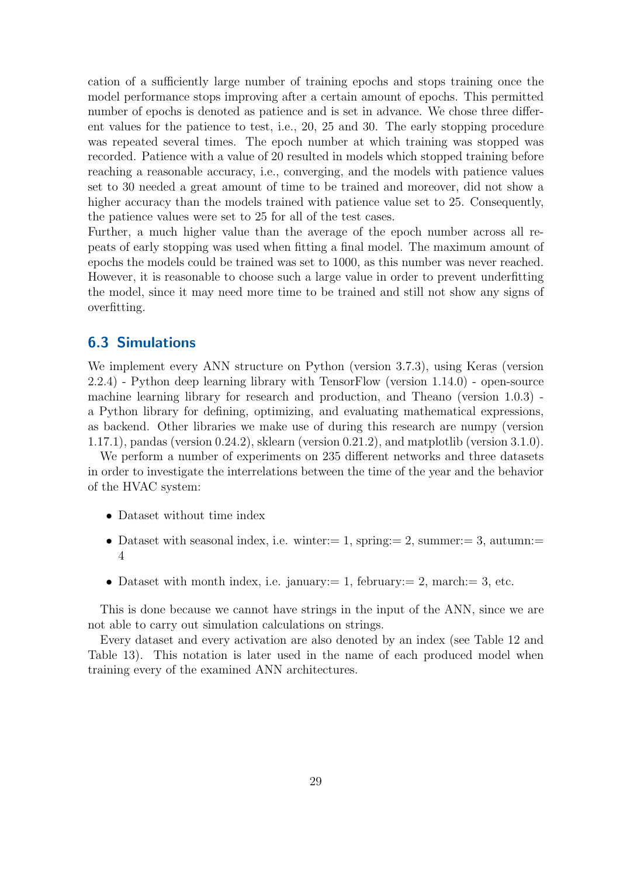cation of a sufficiently large number of training epochs and stops training once the model performance stops improving after a certain amount of epochs. This permitted number of epochs is denoted as patience and is set in advance. We chose three different values for the patience to test, i.e., 20, 25 and 30. The early stopping procedure was repeated several times. The epoch number at which training was stopped was recorded. Patience with a value of 20 resulted in models which stopped training before reaching a reasonable accuracy, i.e., converging, and the models with patience values set to 30 needed a great amount of time to be trained and moreover, did not show a higher accuracy than the models trained with patience value set to 25. Consequently, the patience values were set to 25 for all of the test cases.

Further, a much higher value than the average of the epoch number across all repeats of early stopping was used when fitting a final model. The maximum amount of epochs the models could be trained was set to 1000, as this number was never reached. However, it is reasonable to choose such a large value in order to prevent underfitting the model, since it may need more time to be trained and still not show any signs of overfitting.

### <span id="page-32-0"></span>6.3 Simulations

We implement every ANN structure on Python (version 3.7.3), using Keras (version 2.2.4) - Python deep learning library with TensorFlow (version 1.14.0) - open-source machine learning library for research and production, and Theano (version 1.0.3) a Python library for defining, optimizing, and evaluating mathematical expressions, as backend. Other libraries we make use of during this research are numpy (version 1.17.1), pandas (version 0.24.2), sklearn (version 0.21.2), and matplotlib (version 3.1.0).

We perform a number of experiments on 235 different networks and three datasets in order to investigate the interrelations between the time of the year and the behavior of the HVAC system:

- Dataset without time index
- Dataset with seasonal index, i.e. winter:  $= 1$ , spring:  $= 2$ , summer:  $= 3$ , autumn: 4
- Dataset with month index, i.e. january:  $= 1$ , february:  $= 2$ , march:  $= 3$ , etc.

This is done because we cannot have strings in the input of the ANN, since we are not able to carry out simulation calculations on strings.

Every dataset and every activation are also denoted by an index (see Table [12](#page-33-2) and Table [13\)](#page-33-2). This notation is later used in the name of each produced model when training every of the examined ANN architectures.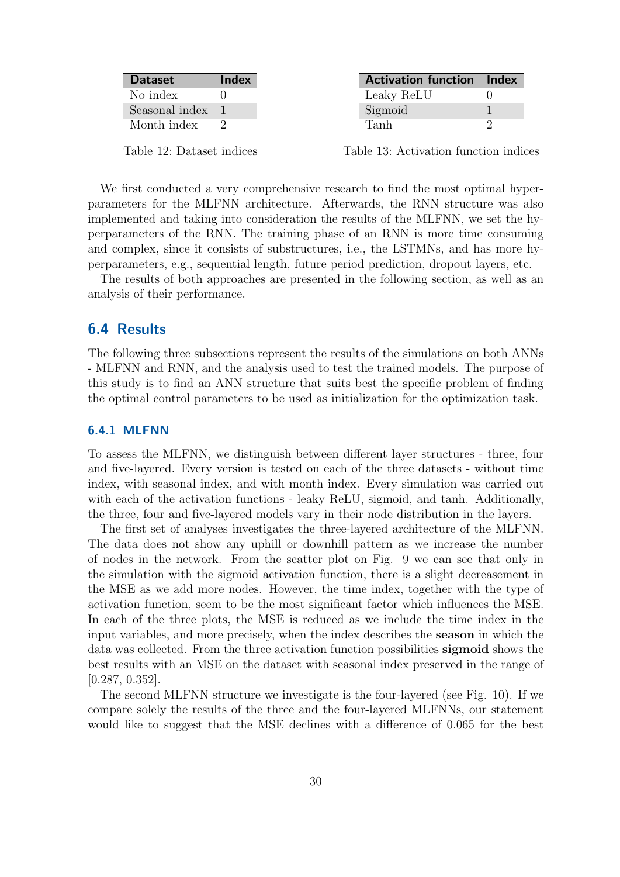<span id="page-33-2"></span>

| <b>Dataset</b> | Index |
|----------------|-------|
| No index       |       |
| Seasonal index |       |
| Month index    |       |

Table 12: Dataset indices

Activation function Index Leaky ReLU 0 Sigmoid 1 Tanh 2

Table 13: Activation function indices

We first conducted a very comprehensive research to find the most optimal hyperparameters for the MLFNN architecture. Afterwards, the RNN structure was also implemented and taking into consideration the results of the MLFNN, we set the hyperparameters of the RNN. The training phase of an RNN is more time consuming and complex, since it consists of substructures, i.e., the LSTMNs, and has more hyperparameters, e.g., sequential length, future period prediction, dropout layers, etc.

The results of both approaches are presented in the following section, as well as an analysis of their performance.

### <span id="page-33-0"></span>6.4 Results

The following three subsections represent the results of the simulations on both ANNs - MLFNN and RNN, and the analysis used to test the trained models. The purpose of this study is to find an ANN structure that suits best the specific problem of finding the optimal control parameters to be used as initialization for the optimization task.

#### <span id="page-33-1"></span>6.4.1 MLFNN

To assess the MLFNN, we distinguish between different layer structures - three, four and five-layered. Every version is tested on each of the three datasets - without time index, with seasonal index, and with month index. Every simulation was carried out with each of the activation functions - leaky ReLU, sigmoid, and tanh. Additionally, the three, four and five-layered models vary in their node distribution in the layers.

The first set of analyses investigates the three-layered architecture of the MLFNN. The data does not show any uphill or downhill pattern as we increase the number of nodes in the network. From the scatter plot on Fig. [9](#page-35-0) we can see that only in the simulation with the sigmoid activation function, there is a slight decreasement in the MSE as we add more nodes. However, the time index, together with the type of activation function, seem to be the most significant factor which influences the MSE. In each of the three plots, the MSE is reduced as we include the time index in the input variables, and more precisely, when the index describes the season in which the data was collected. From the three activation function possibilities sigmoid shows the best results with an MSE on the dataset with seasonal index preserved in the range of [0.287, 0.352].

The second MLFNN structure we investigate is the four-layered (see Fig. [10\)](#page-36-0). If we compare solely the results of the three and the four-layered MLFNNs, our statement would like to suggest that the MSE declines with a difference of 0.065 for the best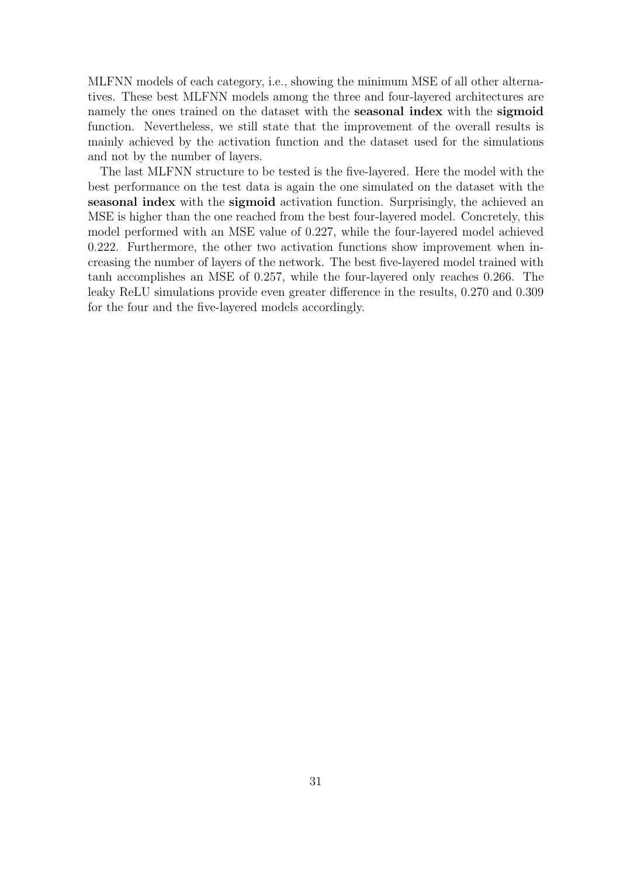MLFNN models of each category, i.e., showing the minimum MSE of all other alternatives. These best MLFNN models among the three and four-layered architectures are namely the ones trained on the dataset with the seasonal index with the sigmoid function. Nevertheless, we still state that the improvement of the overall results is mainly achieved by the activation function and the dataset used for the simulations and not by the number of layers.

The last MLFNN structure to be tested is the five-layered. Here the model with the best performance on the test data is again the one simulated on the dataset with the seasonal index with the sigmoid activation function. Surprisingly, the achieved an MSE is higher than the one reached from the best four-layered model. Concretely, this model performed with an MSE value of 0.227, while the four-layered model achieved 0.222. Furthermore, the other two activation functions show improvement when increasing the number of layers of the network. The best five-layered model trained with tanh accomplishes an MSE of 0.257, while the four-layered only reaches 0.266. The leaky ReLU simulations provide even greater difference in the results, 0.270 and 0.309 for the four and the five-layered models accordingly.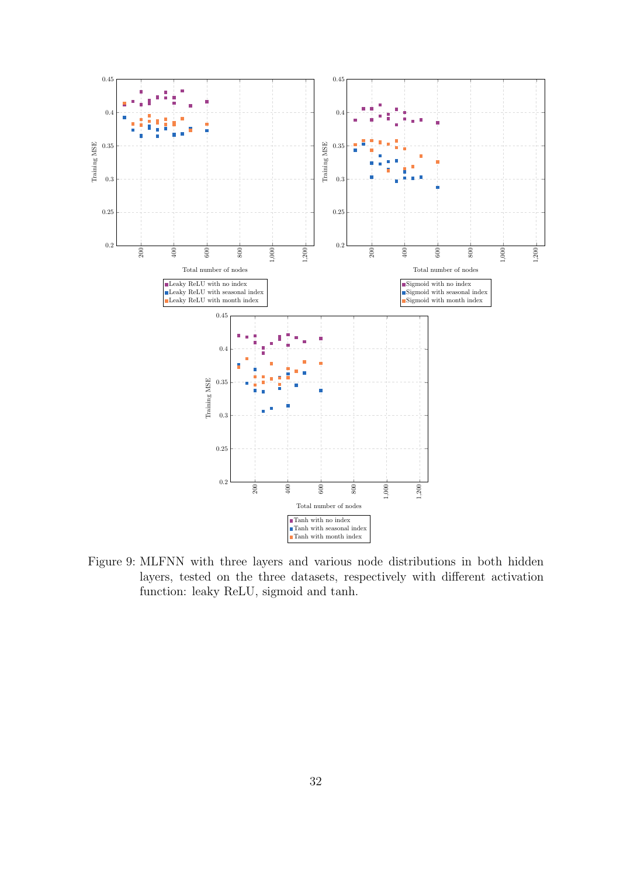<span id="page-35-0"></span>

Figure 9: MLFNN with three layers and various node distributions in both hidden layers, tested on the three datasets, respectively with different activation function: leaky ReLU, sigmoid and tanh.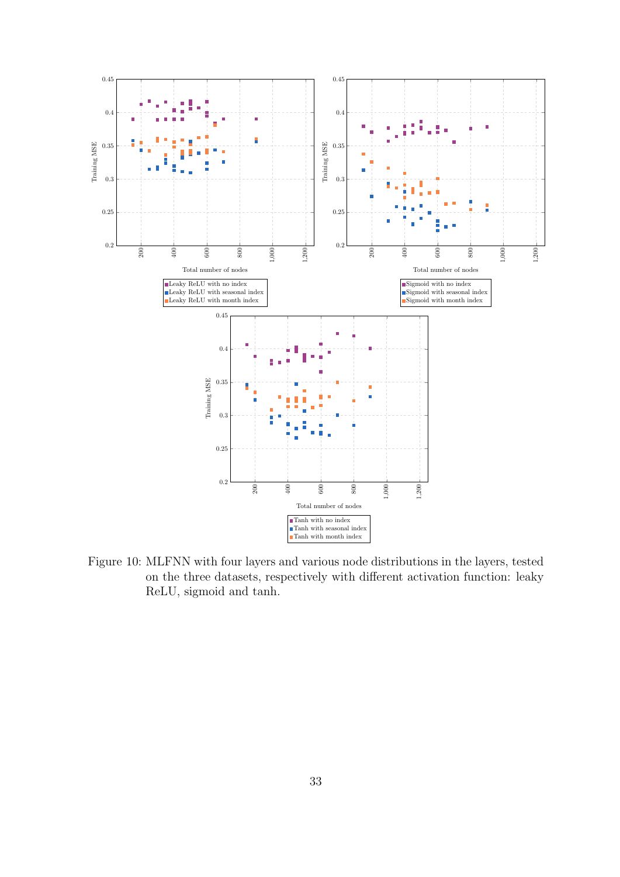<span id="page-36-0"></span>

Figure 10: MLFNN with four layers and various node distributions in the layers, tested on the three datasets, respectively with different activation function: leaky ReLU, sigmoid and tanh.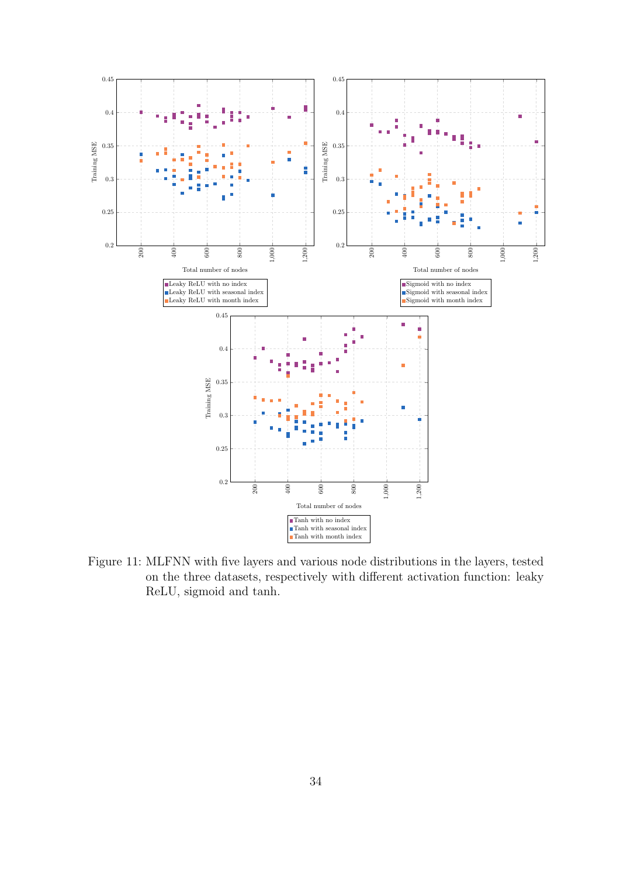<span id="page-37-0"></span>

Figure 11: MLFNN with five layers and various node distributions in the layers, tested on the three datasets, respectively with different activation function: leaky ReLU, sigmoid and tanh.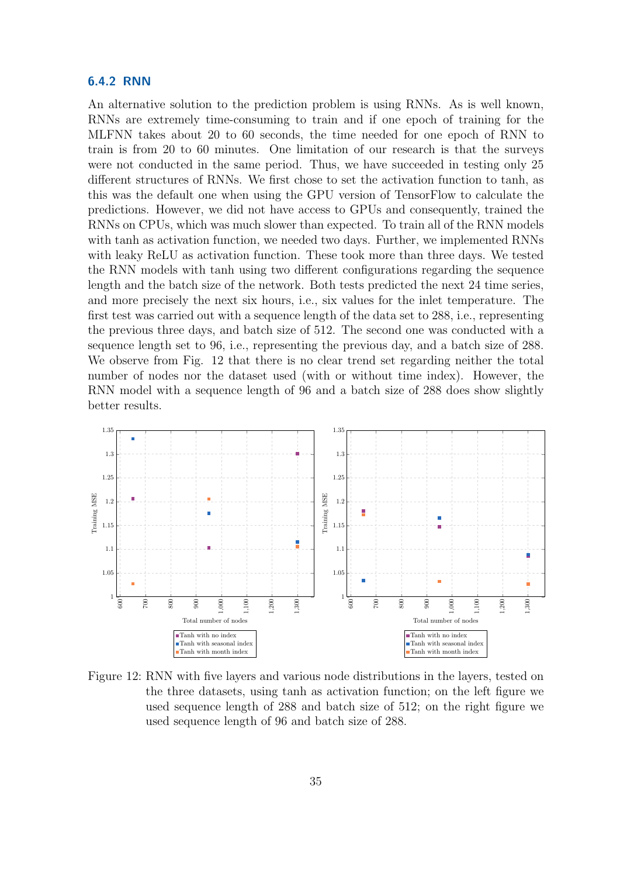#### <span id="page-38-0"></span>6.4.2 RNN

An alternative solution to the prediction problem is using RNNs. As is well known, RNNs are extremely time-consuming to train and if one epoch of training for the MLFNN takes about 20 to 60 seconds, the time needed for one epoch of RNN to train is from 20 to 60 minutes. One limitation of our research is that the surveys were not conducted in the same period. Thus, we have succeeded in testing only 25 different structures of RNNs. We first chose to set the activation function to tanh, as this was the default one when using the GPU version of TensorFlow to calculate the predictions. However, we did not have access to GPUs and consequently, trained the RNNs on CPUs, which was much slower than expected. To train all of the RNN models with tanh as activation function, we needed two days. Further, we implemented RNNs with leaky ReLU as activation function. These took more than three days. We tested the RNN models with tanh using two different configurations regarding the sequence length and the batch size of the network. Both tests predicted the next 24 time series, and more precisely the next six hours, i.e., six values for the inlet temperature. The first test was carried out with a sequence length of the data set to 288, i.e., representing the previous three days, and batch size of 512. The second one was conducted with a sequence length set to 96, i.e., representing the previous day, and a batch size of 288. We observe from Fig. [12](#page-38-1) that there is no clear trend set regarding neither the total number of nodes nor the dataset used (with or without time index). However, the RNN model with a sequence length of 96 and a batch size of 288 does show slightly better results.

<span id="page-38-1"></span>

Figure 12: RNN with five layers and various node distributions in the layers, tested on the three datasets, using tanh as activation function; on the left figure we used sequence length of 288 and batch size of 512; on the right figure we used sequence length of 96 and batch size of 288.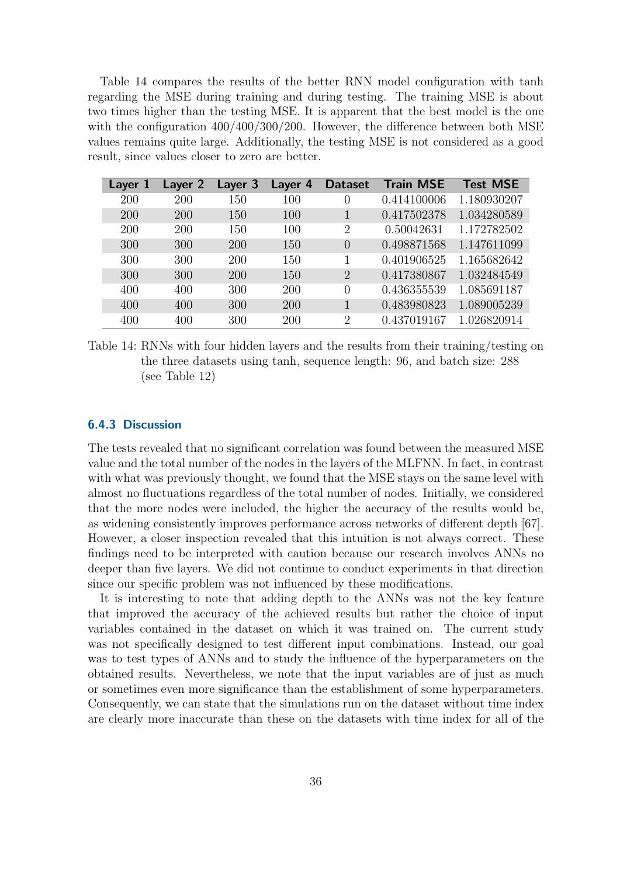Table [14](#page-39-1) compares the results of the better RNN model configuration with tanh regarding the MSE during training and during testing. The training MSE is about two times higher than the testing MSE. It is apparent that the best model is the one with the configuration  $400/400/300/200$ . However, the difference between both MSE values remains quite large. Additionally, the testing MSE is not considered as a good result, since values closer to zero are better.

<span id="page-39-1"></span>

| Layer 1 | Layer 2    | Layer 3 | Layer 4 | <b>Dataset</b> | <b>Train MSE</b> | <b>Test MSE</b> |
|---------|------------|---------|---------|----------------|------------------|-----------------|
| 200     | 200        | 150     | 100     | 0              | 0.414100006      | 1.180930207     |
| 200     | 200        | 150     | 100     |                | 0.417502378      | 1.034280589     |
| 200     | <b>200</b> | 150     | 100     | 2              | 0.50042631       | 1.172782502     |
| 300     | 300        | 200     | 150     | $\left($       | 0.498871568      | 1.147611099     |
| 300     | 300        | 200     | 150     |                | 0.401906525      | 1.165682642     |
| 300     | 300        | 200     | 150     | $\overline{2}$ | 0.417380867      | 1.032484549     |
| 400     | 400        | 300     | 200     | $\theta$       | 0.436355539      | 1.085691187     |
| 400     | 400        | 300     | 200     |                | 0.483980823      | 1.089005239     |
| 400     | 400        | 300     | 200     | 2              | 0.437019167      | 1.026820914     |

Table 14: RNNs with four hidden layers and the results from their training/testing on the three datasets using tanh, sequence length: 96, and batch size: 288 (see Table [12\)](#page-33-2)

#### <span id="page-39-0"></span>6.4.3 Discussion

The tests revealed that no significant correlation was found between the measured MSE value and the total number of the nodes in the layers of the MLFNN. In fact, in contrast with what was previously thought, we found that the MSE stays on the same level with almost no fluctuations regardless of the total number of nodes. Initially, we considered that the more nodes were included, the higher the accuracy of the results would be, as widening consistently improves performance across networks of different depth [\[67\]](#page-50-6). However, a closer inspection revealed that this intuition is not always correct. These findings need to be interpreted with caution because our research involves ANNs no deeper than five layers. We did not continue to conduct experiments in that direction since our specific problem was not influenced by these modifications.

It is interesting to note that adding depth to the ANNs was not the key feature that improved the accuracy of the achieved results but rather the choice of input variables contained in the dataset on which it was trained on. The current study was not specifically designed to test different input combinations. Instead, our goal was to test types of ANNs and to study the influence of the hyperparameters on the obtained results. Nevertheless, we note that the input variables are of just as much or sometimes even more significance than the establishment of some hyperparameters. Consequently, we can state that the simulations run on the dataset without time index are clearly more inaccurate than these on the datasets with time index for all of the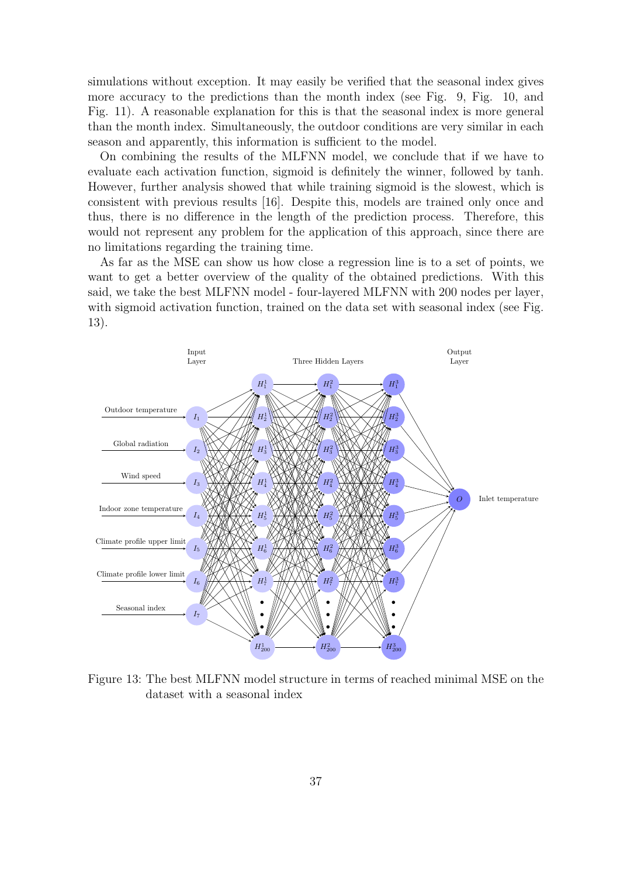simulations without exception. It may easily be verified that the seasonal index gives more accuracy to the predictions than the month index (see Fig. [9,](#page-35-0) Fig. [10,](#page-36-0) and Fig. [11\)](#page-37-0). A reasonable explanation for this is that the seasonal index is more general than the month index. Simultaneously, the outdoor conditions are very similar in each season and apparently, this information is sufficient to the model.

On combining the results of the MLFNN model, we conclude that if we have to evaluate each activation function, sigmoid is definitely the winner, followed by tanh. However, further analysis showed that while training sigmoid is the slowest, which is consistent with previous results [\[16\]](#page-46-11). Despite this, models are trained only once and thus, there is no difference in the length of the prediction process. Therefore, this would not represent any problem for the application of this approach, since there are no limitations regarding the training time.

As far as the MSE can show us how close a regression line is to a set of points, we want to get a better overview of the quality of the obtained predictions. With this said, we take the best MLFNN model - four-layered MLFNN with 200 nodes per layer, with sigmoid activation function, trained on the data set with seasonal index (see Fig. [13\)](#page-40-0).

<span id="page-40-0"></span>

Figure 13: The best MLFNN model structure in terms of reached minimal MSE on the dataset with a seasonal index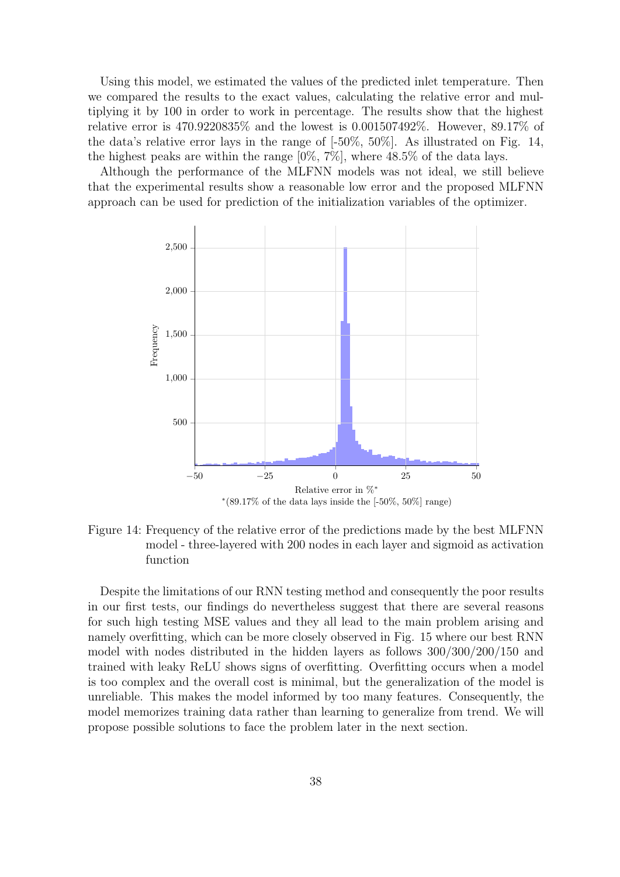Using this model, we estimated the values of the predicted inlet temperature. Then we compared the results to the exact values, calculating the relative error and multiplying it by 100 in order to work in percentage. The results show that the highest relative error is 470.9220835% and the lowest is 0.001507492%. However, 89.17% of the data's relative error lays in the range of [-50%, 50%]. As illustrated on Fig. [14,](#page-41-0) the highest peaks are within the range [0%, 7%], where 48.5% of the data lays.

Although the performance of the MLFNN models was not ideal, we still believe that the experimental results show a reasonable low error and the proposed MLFNN approach can be used for prediction of the initialization variables of the optimizer.

<span id="page-41-0"></span>

Figure 14: Frequency of the relative error of the predictions made by the best MLFNN model - three-layered with 200 nodes in each layer and sigmoid as activation function

Despite the limitations of our RNN testing method and consequently the poor results in our first tests, our findings do nevertheless suggest that there are several reasons for such high testing MSE values and they all lead to the main problem arising and namely overfitting, which can be more closely observed in Fig. [15](#page-42-2) where our best RNN model with nodes distributed in the hidden layers as follows 300/300/200/150 and trained with leaky ReLU shows signs of overfitting. Overfitting occurs when a model is too complex and the overall cost is minimal, but the generalization of the model is unreliable. This makes the model informed by too many features. Consequently, the model memorizes training data rather than learning to generalize from trend. We will propose possible solutions to face the problem later in the next section.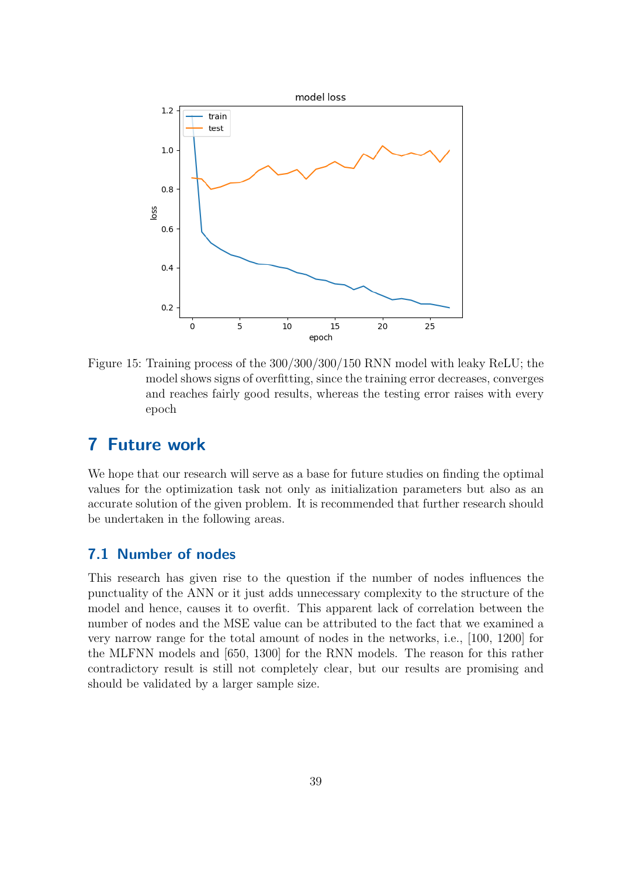<span id="page-42-2"></span>

Figure 15: Training process of the 300/300/300/150 RNN model with leaky ReLU; the model shows signs of overfitting, since the training error decreases, converges and reaches fairly good results, whereas the testing error raises with every epoch

# <span id="page-42-0"></span>7 Future work

We hope that our research will serve as a base for future studies on finding the optimal values for the optimization task not only as initialization parameters but also as an accurate solution of the given problem. It is recommended that further research should be undertaken in the following areas.

### <span id="page-42-1"></span>7.1 Number of nodes

This research has given rise to the question if the number of nodes influences the punctuality of the ANN or it just adds unnecessary complexity to the structure of the model and hence, causes it to overfit. This apparent lack of correlation between the number of nodes and the MSE value can be attributed to the fact that we examined a very narrow range for the total amount of nodes in the networks, i.e., [100, 1200] for the MLFNN models and [650, 1300] for the RNN models. The reason for this rather contradictory result is still not completely clear, but our results are promising and should be validated by a larger sample size.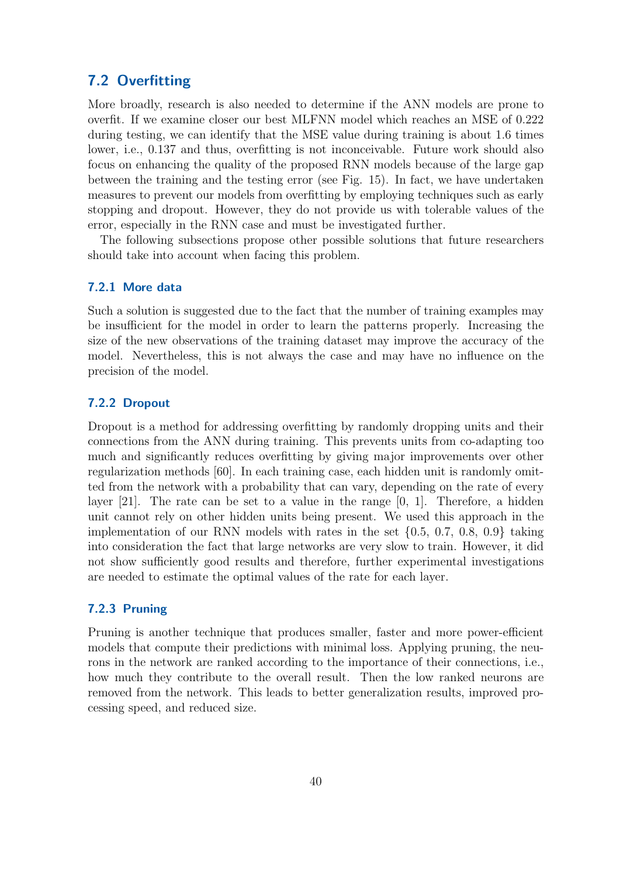### <span id="page-43-0"></span>7.2 Overfitting

More broadly, research is also needed to determine if the ANN models are prone to overfit. If we examine closer our best MLFNN model which reaches an MSE of 0.222 during testing, we can identify that the MSE value during training is about 1.6 times lower, i.e., 0.137 and thus, overfitting is not inconceivable. Future work should also focus on enhancing the quality of the proposed RNN models because of the large gap between the training and the testing error (see Fig. [15\)](#page-42-2). In fact, we have undertaken measures to prevent our models from overfitting by employing techniques such as early stopping and dropout. However, they do not provide us with tolerable values of the error, especially in the RNN case and must be investigated further.

The following subsections propose other possible solutions that future researchers should take into account when facing this problem.

#### <span id="page-43-1"></span>7.2.1 More data

Such a solution is suggested due to the fact that the number of training examples may be insufficient for the model in order to learn the patterns properly. Increasing the size of the new observations of the training dataset may improve the accuracy of the model. Nevertheless, this is not always the case and may have no influence on the precision of the model.

### <span id="page-43-2"></span>7.2.2 Dropout

Dropout is a method for addressing overfitting by randomly dropping units and their connections from the ANN during training. This prevents units from co-adapting too much and significantly reduces overfitting by giving major improvements over other regularization methods [\[60\]](#page-49-10). In each training case, each hidden unit is randomly omitted from the network with a probability that can vary, depending on the rate of every layer [\[21\]](#page-46-12). The rate can be set to a value in the range [0, 1]. Therefore, a hidden unit cannot rely on other hidden units being present. We used this approach in the implementation of our RNN models with rates in the set  $\{0.5, 0.7, 0.8, 0.9\}$  taking into consideration the fact that large networks are very slow to train. However, it did not show sufficiently good results and therefore, further experimental investigations are needed to estimate the optimal values of the rate for each layer.

### <span id="page-43-3"></span>7.2.3 Pruning

Pruning is another technique that produces smaller, faster and more power-efficient models that compute their predictions with minimal loss. Applying pruning, the neurons in the network are ranked according to the importance of their connections, i.e., how much they contribute to the overall result. Then the low ranked neurons are removed from the network. This leads to better generalization results, improved processing speed, and reduced size.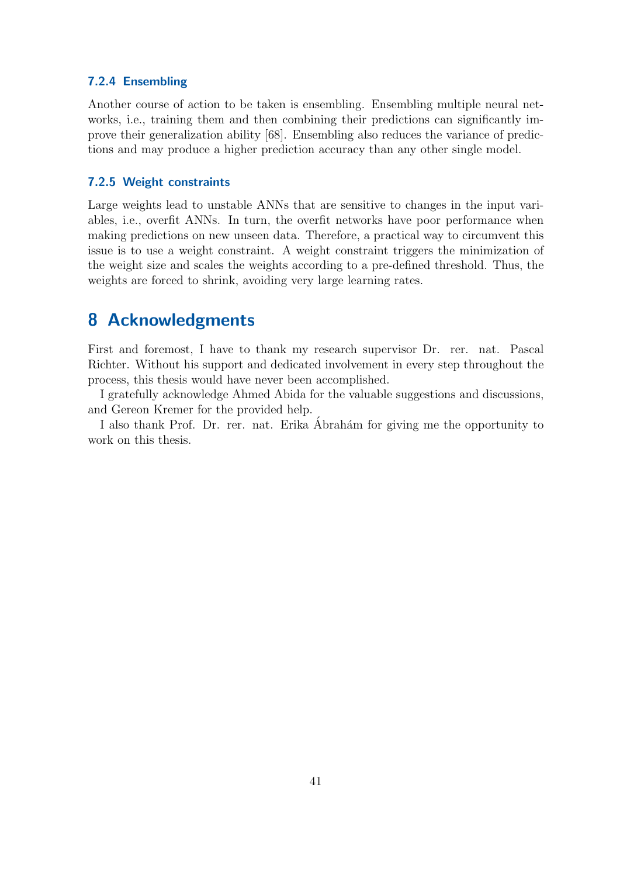#### <span id="page-44-0"></span>7.2.4 Ensembling

Another course of action to be taken is ensembling. Ensembling multiple neural networks, i.e., training them and then combining their predictions can significantly improve their generalization ability [\[68\]](#page-50-2). Ensembling also reduces the variance of predictions and may produce a higher prediction accuracy than any other single model.

#### <span id="page-44-1"></span>7.2.5 Weight constraints

Large weights lead to unstable ANNs that are sensitive to changes in the input variables, i.e., overfit ANNs. In turn, the overfit networks have poor performance when making predictions on new unseen data. Therefore, a practical way to circumvent this issue is to use a weight constraint. A weight constraint triggers the minimization of the weight size and scales the weights according to a pre-defined threshold. Thus, the weights are forced to shrink, avoiding very large learning rates.

# <span id="page-44-2"></span>8 Acknowledgments

First and foremost, I have to thank my research supervisor Dr. rer. nat. Pascal Richter. Without his support and dedicated involvement in every step throughout the process, this thesis would have never been accomplished.

I gratefully acknowledge Ahmed Abida for the valuable suggestions and discussions, and Gereon Kremer for the provided help.

I also thank Prof. Dr. rer. nat. Erika Abrahám for giving me the opportunity to work on this thesis.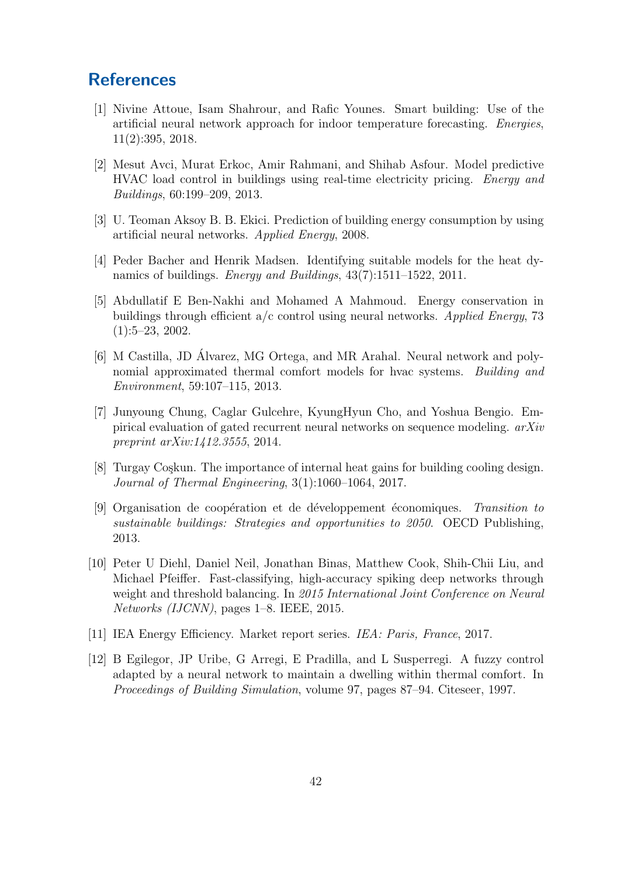# <span id="page-45-0"></span>**References**

- <span id="page-45-5"></span>[1] Nivine Attoue, Isam Shahrour, and Rafic Younes. Smart building: Use of the artificial neural network approach for indoor temperature forecasting. Energies, 11(2):395, 2018.
- <span id="page-45-3"></span>[2] Mesut Avci, Murat Erkoc, Amir Rahmani, and Shihab Asfour. Model predictive HVAC load control in buildings using real-time electricity pricing. Energy and Buildings, 60:199–209, 2013.
- <span id="page-45-6"></span>[3] U. Teoman Aksoy B. B. Ekici. Prediction of building energy consumption by using artificial neural networks. Applied Energy, 2008.
- <span id="page-45-4"></span>[4] Peder Bacher and Henrik Madsen. Identifying suitable models for the heat dynamics of buildings. Energy and Buildings, 43(7):1511–1522, 2011.
- <span id="page-45-8"></span>[5] Abdullatif E Ben-Nakhi and Mohamed A Mahmoud. Energy conservation in buildings through efficient a/c control using neural networks. Applied Energy, 73  $(1):5-23, 2002.$
- <span id="page-45-12"></span>[6] M Castilla, JD Álvarez, MG Ortega, and MR Arahal. Neural network and polynomial approximated thermal comfort models for hvac systems. Building and Environment, 59:107–115, 2013.
- <span id="page-45-10"></span>[7] Junyoung Chung, Caglar Gulcehre, KyungHyun Cho, and Yoshua Bengio. Empirical evaluation of gated recurrent neural networks on sequence modeling. arXiv preprint arXiv:1412.3555, 2014.
- <span id="page-45-9"></span>[8] Turgay Coşkun. The importance of internal heat gains for building cooling design. Journal of Thermal Engineering, 3(1):1060–1064, 2017.
- <span id="page-45-1"></span>[9] Organisation de coopération et de développement économiques. Transition to sustainable buildings: Strategies and opportunities to 2050. OECD Publishing, 2013.
- <span id="page-45-11"></span>[10] Peter U Diehl, Daniel Neil, Jonathan Binas, Matthew Cook, Shih-Chii Liu, and Michael Pfeiffer. Fast-classifying, high-accuracy spiking deep networks through weight and threshold balancing. In 2015 International Joint Conference on Neural Networks (IJCNN), pages 1–8. IEEE, 2015.
- <span id="page-45-2"></span>[11] IEA Energy Efficiency. Market report series. IEA: Paris, France, 2017.
- <span id="page-45-7"></span>[12] B Egilegor, JP Uribe, G Arregi, E Pradilla, and L Susperregi. A fuzzy control adapted by a neural network to maintain a dwelling within thermal comfort. In Proceedings of Building Simulation, volume 97, pages 87–94. Citeseer, 1997.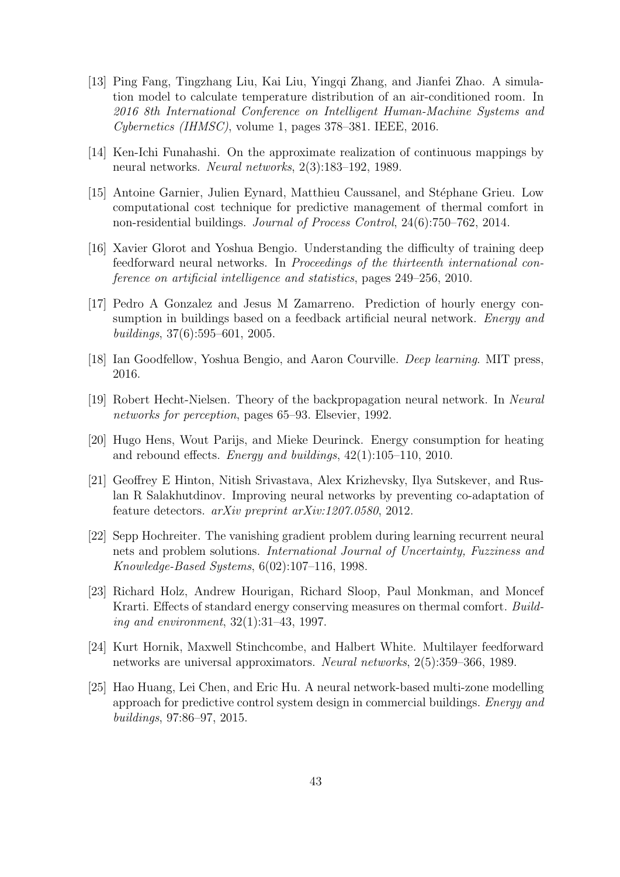- <span id="page-46-4"></span>[13] Ping Fang, Tingzhang Liu, Kai Liu, Yingqi Zhang, and Jianfei Zhao. A simulation model to calculate temperature distribution of an air-conditioned room. In 2016 8th International Conference on Intelligent Human-Machine Systems and Cybernetics (IHMSC), volume 1, pages 378–381. IEEE, 2016.
- <span id="page-46-5"></span>[14] Ken-Ichi Funahashi. On the approximate realization of continuous mappings by neural networks. Neural networks, 2(3):183–192, 1989.
- <span id="page-46-0"></span>[15] Antoine Garnier, Julien Eynard, Matthieu Caussanel, and Stéphane Grieu. Low computational cost technique for predictive management of thermal comfort in non-residential buildings. Journal of Process Control, 24(6):750–762, 2014.
- <span id="page-46-11"></span>[16] Xavier Glorot and Yoshua Bengio. Understanding the difficulty of training deep feedforward neural networks. In Proceedings of the thirteenth international conference on artificial intelligence and statistics, pages 249–256, 2010.
- <span id="page-46-7"></span>[17] Pedro A Gonzalez and Jesus M Zamarreno. Prediction of hourly energy consumption in buildings based on a feedback artificial neural network. *Energy and* buildings, 37(6):595–601, 2005.
- <span id="page-46-10"></span>[18] Ian Goodfellow, Yoshua Bengio, and Aaron Courville. Deep learning. MIT press, 2016.
- <span id="page-46-9"></span>[19] Robert Hecht-Nielsen. Theory of the backpropagation neural network. In Neural networks for perception, pages 65–93. Elsevier, 1992.
- <span id="page-46-3"></span>[20] Hugo Hens, Wout Parijs, and Mieke Deurinck. Energy consumption for heating and rebound effects. Energy and buildings,  $42(1):105-110$ ,  $2010$ .
- <span id="page-46-12"></span>[21] Geoffrey E Hinton, Nitish Srivastava, Alex Krizhevsky, Ilya Sutskever, and Ruslan R Salakhutdinov. Improving neural networks by preventing co-adaptation of feature detectors. arXiv preprint arXiv:1207.0580, 2012.
- <span id="page-46-8"></span>[22] Sepp Hochreiter. The vanishing gradient problem during learning recurrent neural nets and problem solutions. International Journal of Uncertainty, Fuzziness and Knowledge-Based Systems, 6(02):107–116, 1998.
- <span id="page-46-2"></span>[23] Richard Holz, Andrew Hourigan, Richard Sloop, Paul Monkman, and Moncef Krarti. Effects of standard energy conserving measures on thermal comfort. Building and environment, 32(1):31–43, 1997.
- <span id="page-46-6"></span>[24] Kurt Hornik, Maxwell Stinchcombe, and Halbert White. Multilayer feedforward networks are universal approximators. Neural networks, 2(5):359–366, 1989.
- <span id="page-46-1"></span>[25] Hao Huang, Lei Chen, and Eric Hu. A neural network-based multi-zone modelling approach for predictive control system design in commercial buildings. Energy and buildings, 97:86–97, 2015.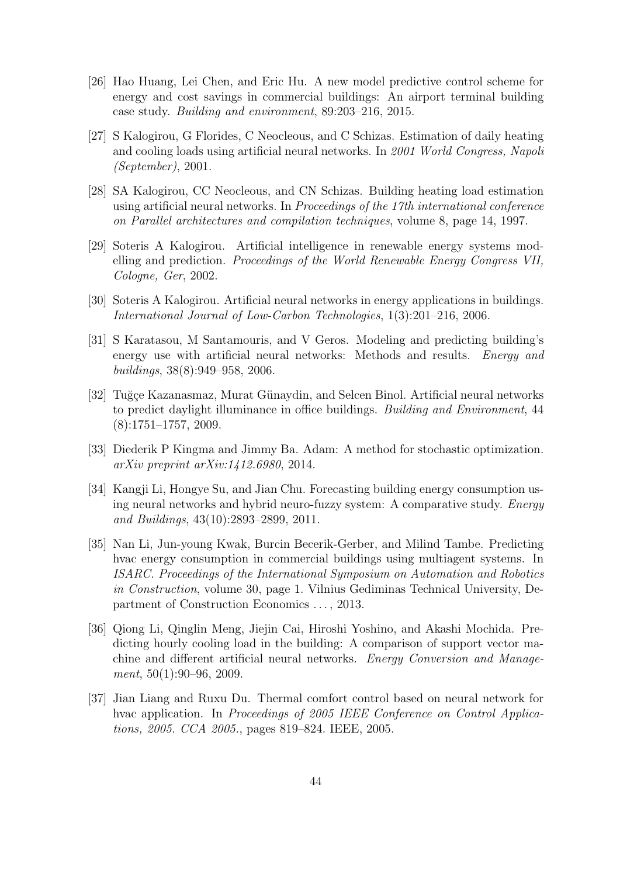- <span id="page-47-0"></span>[26] Hao Huang, Lei Chen, and Eric Hu. A new model predictive control scheme for energy and cost savings in commercial buildings: An airport terminal building case study. Building and environment, 89:203–216, 2015.
- <span id="page-47-5"></span>[27] S Kalogirou, G Florides, C Neocleous, and C Schizas. Estimation of daily heating and cooling loads using artificial neural networks. In 2001 World Congress, Napoli (September), 2001.
- <span id="page-47-3"></span>[28] SA Kalogirou, CC Neocleous, and CN Schizas. Building heating load estimation using artificial neural networks. In Proceedings of the 17th international conference on Parallel architectures and compilation techniques, volume 8, page 14, 1997.
- <span id="page-47-9"></span>[29] Soteris A Kalogirou. Artificial intelligence in renewable energy systems modelling and prediction. Proceedings of the World Renewable Energy Congress VII, Cologne, Ger, 2002.
- <span id="page-47-10"></span>[30] Soteris A Kalogirou. Artificial neural networks in energy applications in buildings. International Journal of Low-Carbon Technologies, 1(3):201–216, 2006.
- <span id="page-47-7"></span>[31] S Karatasou, M Santamouris, and V Geros. Modeling and predicting building's energy use with artificial neural networks: Methods and results. Energy and buildings, 38(8):949–958, 2006.
- <span id="page-47-4"></span>[32] Tuğçe Kazanasmaz, Murat Günaydin, and Selcen Binol. Artificial neural networks to predict daylight illuminance in office buildings. Building and Environment, 44 (8):1751–1757, 2009.
- <span id="page-47-11"></span>[33] Diederik P Kingma and Jimmy Ba. Adam: A method for stochastic optimization. arXiv preprint arXiv:1412.6980, 2014.
- <span id="page-47-8"></span>[34] Kangji Li, Hongye Su, and Jian Chu. Forecasting building energy consumption using neural networks and hybrid neuro-fuzzy system: A comparative study. Energy and Buildings, 43(10):2893–2899, 2011.
- <span id="page-47-1"></span>[35] Nan Li, Jun-young Kwak, Burcin Becerik-Gerber, and Milind Tambe. Predicting hvac energy consumption in commercial buildings using multiagent systems. In ISARC. Proceedings of the International Symposium on Automation and Robotics in Construction, volume 30, page 1. Vilnius Gediminas Technical University, Department of Construction Economics . . . , 2013.
- <span id="page-47-2"></span>[36] Qiong Li, Qinglin Meng, Jiejin Cai, Hiroshi Yoshino, and Akashi Mochida. Predicting hourly cooling load in the building: A comparison of support vector machine and different artificial neural networks. Energy Conversion and Management, 50(1):90–96, 2009.
- <span id="page-47-6"></span>[37] Jian Liang and Ruxu Du. Thermal comfort control based on neural network for hvac application. In Proceedings of 2005 IEEE Conference on Control Applications, 2005. CCA 2005., pages 819–824. IEEE, 2005.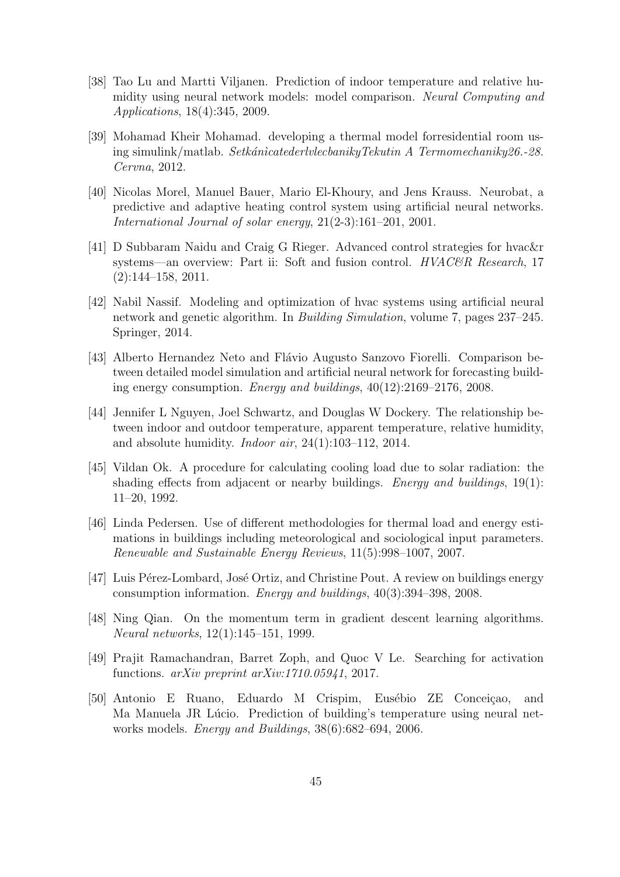- <span id="page-48-9"></span>[38] Tao Lu and Martti Viljanen. Prediction of indoor temperature and relative humidity using neural network models: model comparison. Neural Computing and Applications, 18(4):345, 2009.
- <span id="page-48-3"></span>[39] Mohamad Kheir Mohamad. developing a thermal model forresidential room using simulink/matlab. SetkánicatederlylecbanikyTekutin A Termomechaniky26.-28. Cervna, 2012.
- <span id="page-48-2"></span>[40] Nicolas Morel, Manuel Bauer, Mario El-Khoury, and Jens Krauss. Neurobat, a predictive and adaptive heating control system using artificial neural networks. International Journal of solar energy, 21(2-3):161–201, 2001.
- <span id="page-48-1"></span>[41] D Subbaram Naidu and Craig G Rieger. Advanced control strategies for hvac&r systems—an overview: Part ii: Soft and fusion control. HVAC&R Research, 17  $(2):144-158, 2011.$
- <span id="page-48-10"></span>[42] Nabil Nassif. Modeling and optimization of hvac systems using artificial neural network and genetic algorithm. In Building Simulation, volume 7, pages 237–245. Springer, 2014.
- <span id="page-48-8"></span>[43] Alberto Hernandez Neto and Flávio Augusto Sanzovo Fiorelli. Comparison between detailed model simulation and artificial neural network for forecasting building energy consumption. Energy and buildings, 40(12):2169–2176, 2008.
- <span id="page-48-6"></span>[44] Jennifer L Nguyen, Joel Schwartz, and Douglas W Dockery. The relationship between indoor and outdoor temperature, apparent temperature, relative humidity, and absolute humidity. Indoor air, 24(1):103–112, 2014.
- <span id="page-48-4"></span>[45] Vildan Ok. A procedure for calculating cooling load due to solar radiation: the shading effects from adjacent or nearby buildings. Energy and buildings, 19(1): 11–20, 1992.
- <span id="page-48-5"></span>[46] Linda Pedersen. Use of different methodologies for thermal load and energy estimations in buildings including meteorological and sociological input parameters. Renewable and Sustainable Energy Reviews, 11(5):998–1007, 2007.
- <span id="page-48-0"></span>[47] Luis Pérez-Lombard, José Ortiz, and Christine Pout. A review on buildings energy consumption information. Energy and buildings, 40(3):394–398, 2008.
- <span id="page-48-12"></span>[48] Ning Qian. On the momentum term in gradient descent learning algorithms. Neural networks, 12(1):145–151, 1999.
- <span id="page-48-11"></span>[49] Prajit Ramachandran, Barret Zoph, and Quoc V Le. Searching for activation functions. arXiv preprint arXiv:1710.05941, 2017.
- <span id="page-48-7"></span>[50] Antonio E Ruano, Eduardo M Crispim, Eusébio ZE Conceiçao, and Ma Manuela JR Lúcio. Prediction of building's temperature using neural networks models. Energy and Buildings, 38(6):682–694, 2006.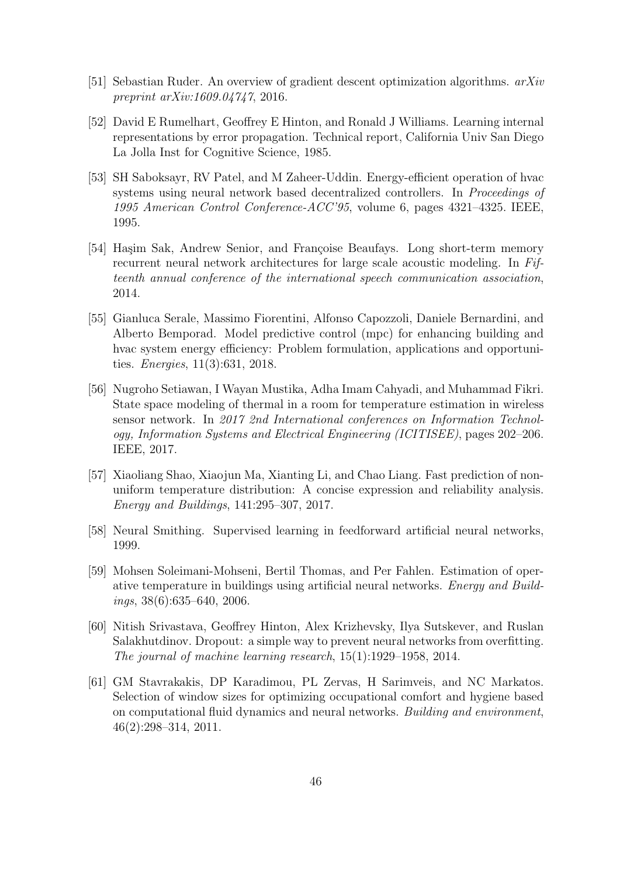- <span id="page-49-9"></span>[51] Sebastian Ruder. An overview of gradient descent optimization algorithms. arXiv preprint arXiv:1609.04747, 2016.
- <span id="page-49-6"></span>[52] David E Rumelhart, Geoffrey E Hinton, and Ronald J Williams. Learning internal representations by error propagation. Technical report, California Univ San Diego La Jolla Inst for Cognitive Science, 1985.
- <span id="page-49-4"></span>[53] SH Saboksayr, RV Patel, and M Zaheer-Uddin. Energy-efficient operation of hvac systems using neural network based decentralized controllers. In Proceedings of 1995 American Control Conference-ACC'95, volume 6, pages 4321–4325. IEEE, 1995.
- <span id="page-49-7"></span>[54] Hasim Sak, Andrew Senior, and Françoise Beaufays. Long short-term memory recurrent neural network architectures for large scale acoustic modeling. In Fifteenth annual conference of the international speech communication association, 2014.
- <span id="page-49-0"></span>[55] Gianluca Serale, Massimo Fiorentini, Alfonso Capozzoli, Daniele Bernardini, and Alberto Bemporad. Model predictive control (mpc) for enhancing building and hvac system energy efficiency: Problem formulation, applications and opportunities. Energies, 11(3):631, 2018.
- <span id="page-49-5"></span>[56] Nugroho Setiawan, I Wayan Mustika, Adha Imam Cahyadi, and Muhammad Fikri. State space modeling of thermal in a room for temperature estimation in wireless sensor network. In 2017 2nd International conferences on Information Technology, Information Systems and Electrical Engineering (ICITISEE), pages 202–206. IEEE, 2017.
- <span id="page-49-1"></span>[57] Xiaoliang Shao, Xiaojun Ma, Xianting Li, and Chao Liang. Fast prediction of nonuniform temperature distribution: A concise expression and reliability analysis. Energy and Buildings, 141:295–307, 2017.
- <span id="page-49-8"></span>[58] Neural Smithing. Supervised learning in feedforward artificial neural networks, 1999.
- <span id="page-49-3"></span>[59] Mohsen Soleimani-Mohseni, Bertil Thomas, and Per Fahlen. Estimation of operative temperature in buildings using artificial neural networks. Energy and Build $ings, 38(6): 635–640, 2006.$
- <span id="page-49-10"></span>[60] Nitish Srivastava, Geoffrey Hinton, Alex Krizhevsky, Ilya Sutskever, and Ruslan Salakhutdinov. Dropout: a simple way to prevent neural networks from overfitting. The journal of machine learning research, 15(1):1929–1958, 2014.
- <span id="page-49-2"></span>[61] GM Stavrakakis, DP Karadimou, PL Zervas, H Sarimveis, and NC Markatos. Selection of window sizes for optimizing occupational comfort and hygiene based on computational fluid dynamics and neural networks. Building and environment, 46(2):298–314, 2011.